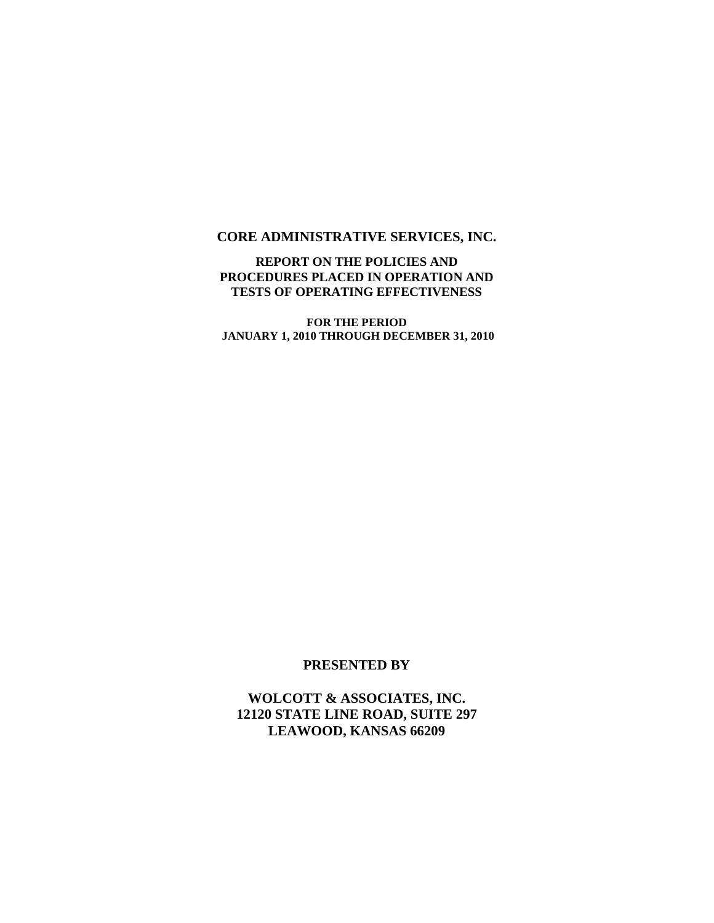#### **CORE ADMINISTRATIVE SERVICES, INC.**

#### **REPORT ON THE POLICIES AND PROCEDURES PLACED IN OPERATION AND TESTS OF OPERATING EFFECTIVENESS**

**FOR THE PERIOD JANUARY 1, 2010 THROUGH DECEMBER 31, 2010**

#### **PRESENTED BY**

**WOLCOTT & ASSOCIATES, INC. 12120 STATE LINE ROAD, SUITE 297 LEAWOOD, KANSAS 66209**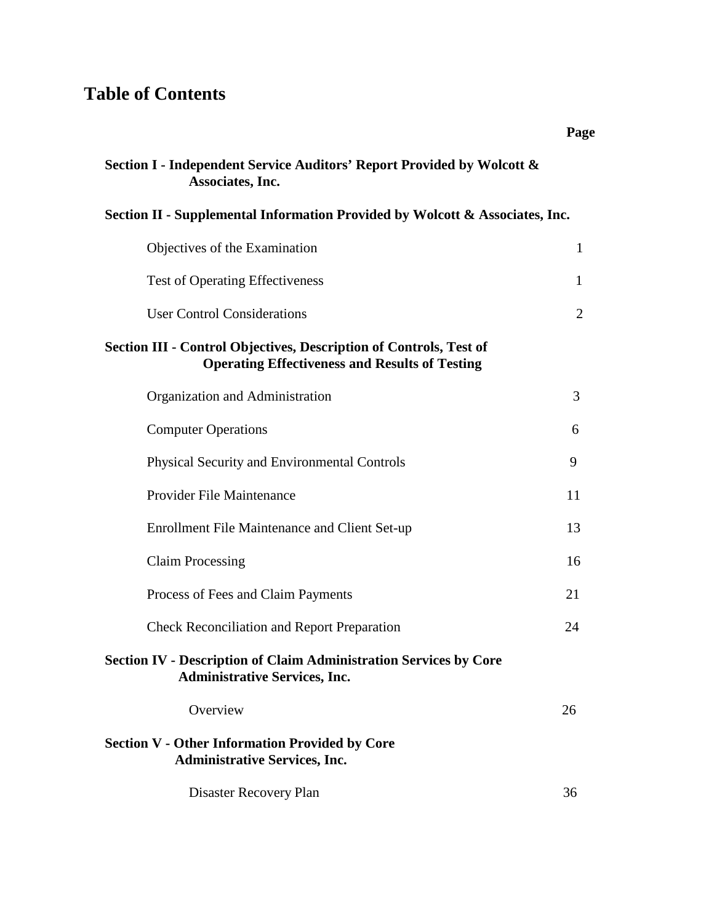# **Table of Contents**

| Section I - Independent Service Auditors' Report Provided by Wolcott &<br>Associates, Inc.                                  |                |
|-----------------------------------------------------------------------------------------------------------------------------|----------------|
| Section II - Supplemental Information Provided by Wolcott & Associates, Inc.                                                |                |
| Objectives of the Examination                                                                                               | $\mathbf{1}$   |
| <b>Test of Operating Effectiveness</b>                                                                                      | 1              |
| <b>User Control Considerations</b>                                                                                          | $\overline{2}$ |
| Section III - Control Objectives, Description of Controls, Test of<br><b>Operating Effectiveness and Results of Testing</b> |                |
| Organization and Administration                                                                                             | 3              |
| <b>Computer Operations</b>                                                                                                  | 6              |
| <b>Physical Security and Environmental Controls</b>                                                                         | 9              |
| Provider File Maintenance                                                                                                   | 11             |
| Enrollment File Maintenance and Client Set-up                                                                               | 13             |
| <b>Claim Processing</b>                                                                                                     | 16             |
| Process of Fees and Claim Payments                                                                                          | 21             |
| <b>Check Reconciliation and Report Preparation</b>                                                                          | 24             |
| <b>Section IV - Description of Claim Administration Services by Core</b><br><b>Administrative Services, Inc.</b>            |                |
| Overview                                                                                                                    | 26             |
| <b>Section V - Other Information Provided by Core</b><br><b>Administrative Services, Inc.</b>                               |                |
| Disaster Recovery Plan                                                                                                      | 36             |

**Page**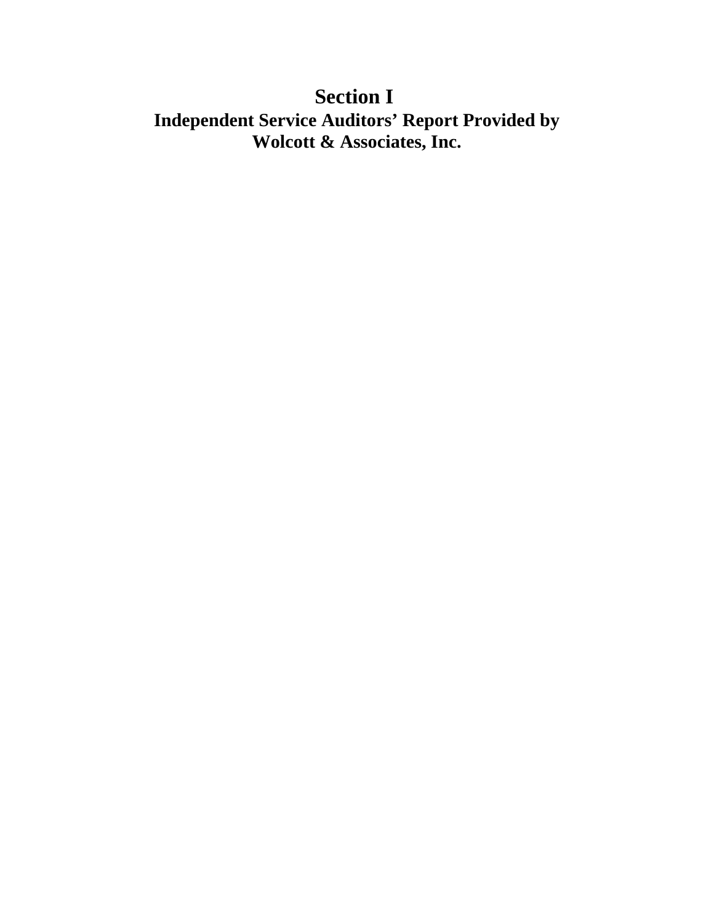# **Section I Independent Service Auditors' Report Provided by Wolcott & Associates, Inc.**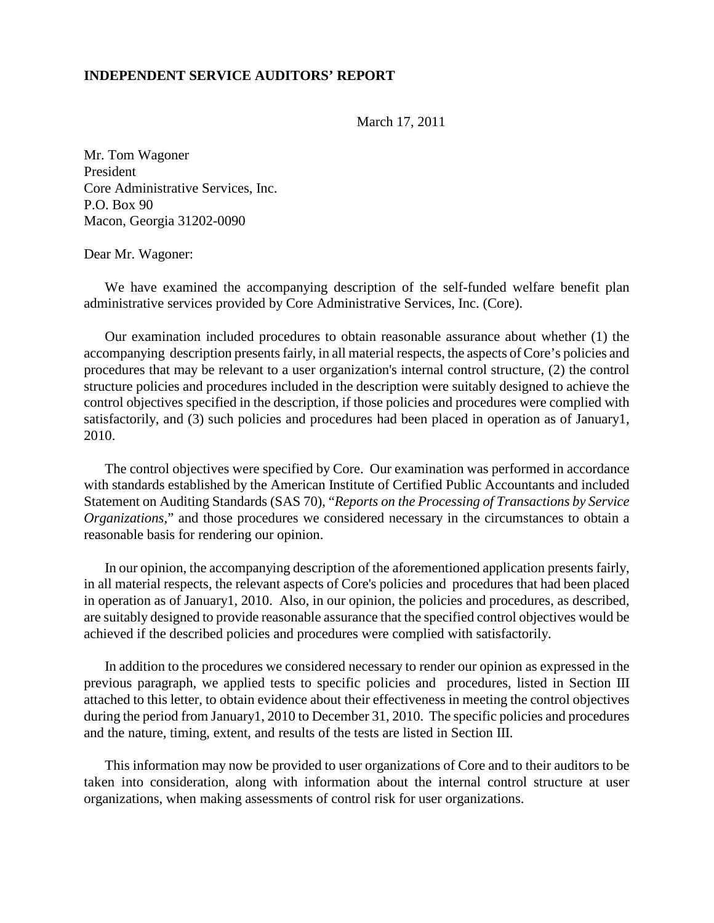#### **INDEPENDENT SERVICE AUDITORS' REPORT**

March 17, 2011

Mr. Tom Wagoner President Core Administrative Services, Inc. P.O. Box 90 Macon, Georgia 31202-0090

#### Dear Mr. Wagoner:

We have examined the accompanying description of the self-funded welfare benefit plan administrative services provided by Core Administrative Services, Inc. (Core).

Our examination included procedures to obtain reasonable assurance about whether (1) the accompanying description presents fairly, in all material respects, the aspects of Core's policies and procedures that may be relevant to a user organization's internal control structure, (2) the control structure policies and procedures included in the description were suitably designed to achieve the control objectives specified in the description, if those policies and procedures were complied with satisfactorily, and (3) such policies and procedures had been placed in operation as of January1, 2010.

The control objectives were specified by Core. Our examination was performed in accordance with standards established by the American Institute of Certified Public Accountants and included Statement on Auditing Standards (SAS 70), "*Reports on the Processing of Transactions by Service Organizations*," and those procedures we considered necessary in the circumstances to obtain a reasonable basis for rendering our opinion.

In our opinion, the accompanying description of the aforementioned application presents fairly, in all material respects, the relevant aspects of Core's policies and procedures that had been placed in operation as of January1, 2010. Also, in our opinion, the policies and procedures, as described, are suitably designed to provide reasonable assurance that the specified control objectives would be achieved if the described policies and procedures were complied with satisfactorily.

In addition to the procedures we considered necessary to render our opinion as expressed in the previous paragraph, we applied tests to specific policies and procedures, listed in Section III attached to this letter, to obtain evidence about their effectiveness in meeting the control objectives during the period from January1, 2010 to December 31, 2010. The specific policies and procedures and the nature, timing, extent, and results of the tests are listed in Section III.

This information may now be provided to user organizations of Core and to their auditors to be taken into consideration, along with information about the internal control structure at user organizations, when making assessments of control risk for user organizations.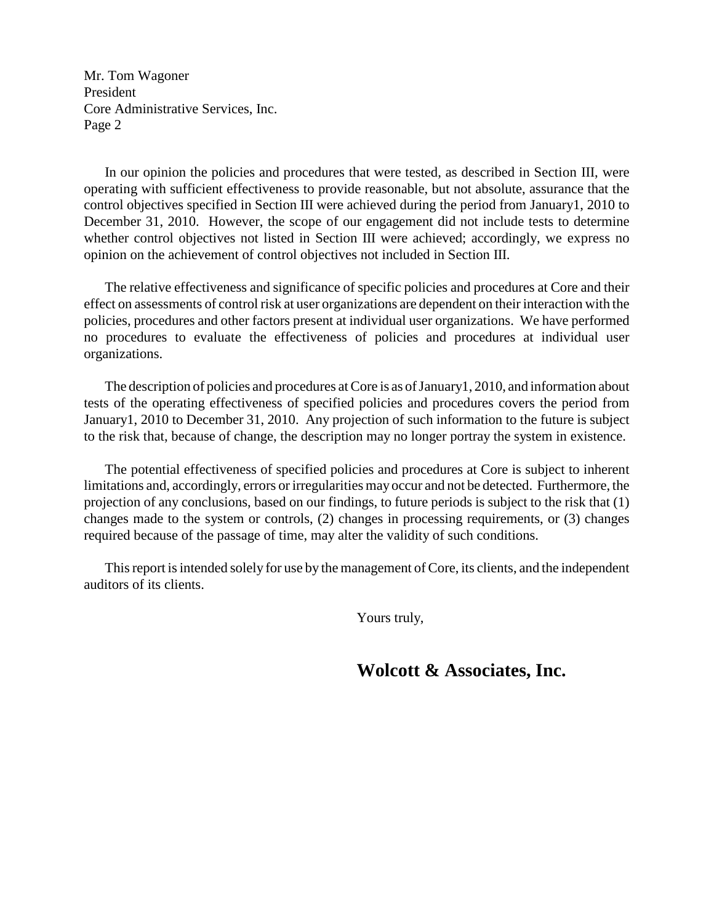Mr. Tom Wagoner President Core Administrative Services, Inc. Page 2

In our opinion the policies and procedures that were tested, as described in Section III, were operating with sufficient effectiveness to provide reasonable, but not absolute, assurance that the control objectives specified in Section III were achieved during the period from January1, 2010 to December 31, 2010. However, the scope of our engagement did not include tests to determine whether control objectives not listed in Section III were achieved; accordingly, we express no opinion on the achievement of control objectives not included in Section III.

The relative effectiveness and significance of specific policies and procedures at Core and their effect on assessments of control risk at user organizations are dependent on their interaction with the policies, procedures and other factors present at individual user organizations. We have performed no procedures to evaluate the effectiveness of policies and procedures at individual user organizations.

The description of policies and procedures at Core is as of January 1, 2010, and information about tests of the operating effectiveness of specified policies and procedures covers the period from January1, 2010 to December 31, 2010. Any projection of such information to the future is subject to the risk that, because of change, the description may no longer portray the system in existence.

The potential effectiveness of specified policies and procedures at Core is subject to inherent limitations and, accordingly, errors or irregularities may occur and not be detected. Furthermore, the projection of any conclusions, based on our findings, to future periods is subject to the risk that (1) changes made to the system or controls, (2) changes in processing requirements, or (3) changes required because of the passage of time, may alter the validity of such conditions.

This report is intended solely for use by the management of Core, its clients, and the independent auditors of its clients.

Yours truly,

**Wolcott & Associates, Inc.**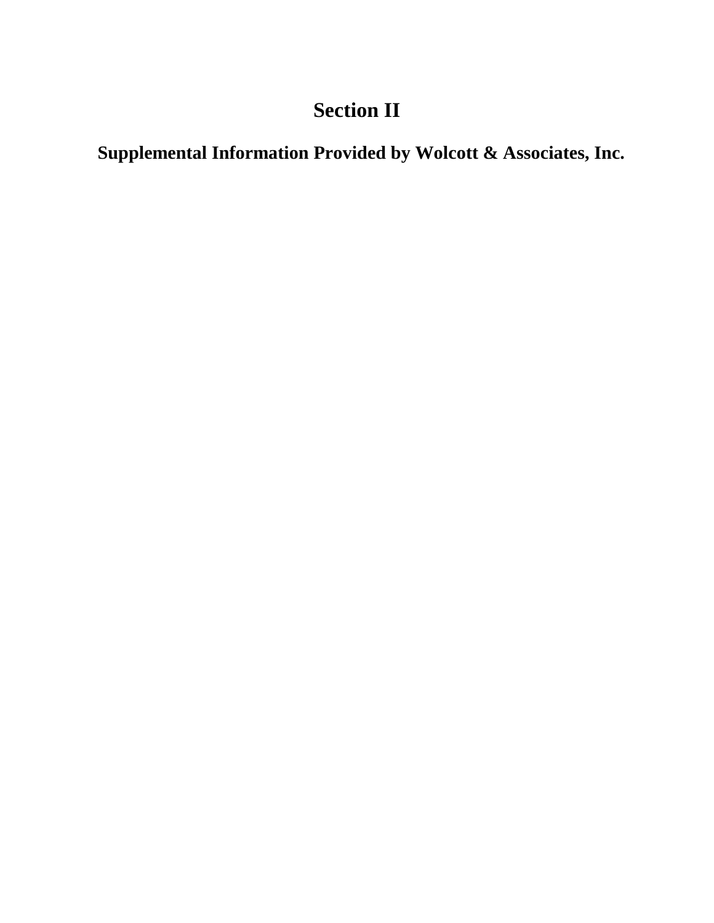# **Section II**

**Supplemental Information Provided by Wolcott & Associates, Inc.**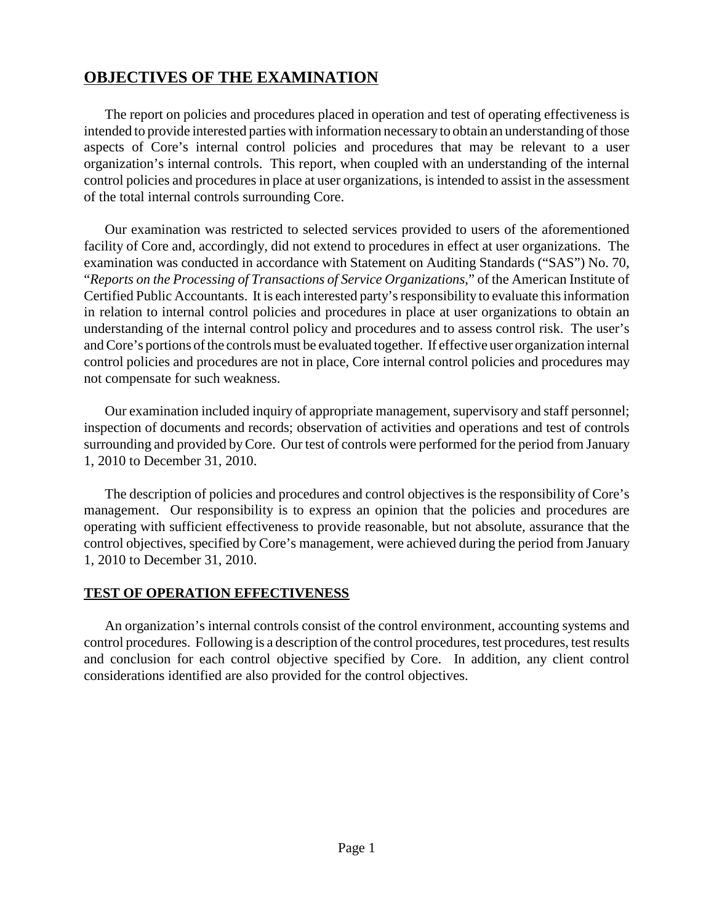## **OBJECTIVES OF THE EXAMINATION**

The report on policies and procedures placed in operation and test of operating effectiveness is intended to provide interested parties with information necessary to obtain an understanding of those aspects of Core's internal control policies and procedures that may be relevant to a user organization's internal controls. This report, when coupled with an understanding of the internal control policies and procedures in place at user organizations, is intended to assist in the assessment of the total internal controls surrounding Core.

Our examination was restricted to selected services provided to users of the aforementioned facility of Core and, accordingly, did not extend to procedures in effect at user organizations. The examination was conducted in accordance with Statement on Auditing Standards ("SAS") No. 70, "*Reports on the Processing of Transactions of Service Organizations*," of the American Institute of Certified Public Accountants. It is each interested party's responsibility to evaluate this information in relation to internal control policies and procedures in place at user organizations to obtain an understanding of the internal control policy and procedures and to assess control risk. The user's and Core's portions of the controls must be evaluated together. If effective user organization internal control policies and procedures are not in place, Core internal control policies and procedures may not compensate for such weakness.

Our examination included inquiry of appropriate management, supervisory and staff personnel; inspection of documents and records; observation of activities and operations and test of controls surrounding and provided byCore. Our test of controls were performed for the period from January 1, 2010 to December 31, 2010.

The description of policies and procedures and control objectives is the responsibility of Core's management. Our responsibility is to express an opinion that the policies and procedures are operating with sufficient effectiveness to provide reasonable, but not absolute, assurance that the control objectives, specified by Core's management, were achieved during the period from January 1, 2010 to December 31, 2010.

#### **TEST OF OPERATION EFFECTIVENESS**

An organization's internal controls consist of the control environment, accounting systems and control procedures. Following is a description of the control procedures, test procedures, test results and conclusion for each control objective specified by Core. In addition, any client control considerations identified are also provided for the control objectives.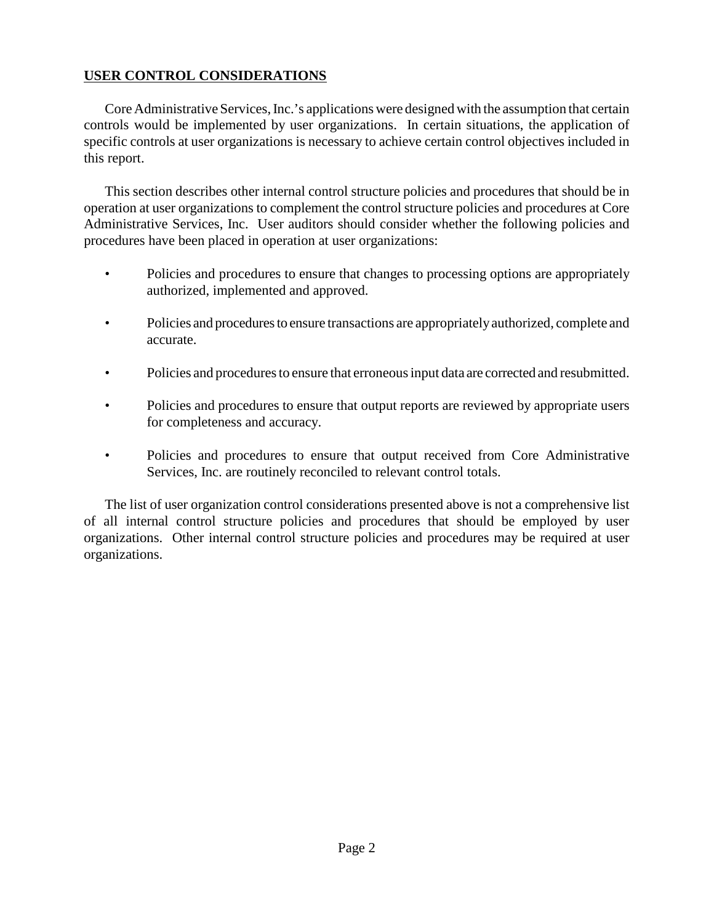#### **USER CONTROL CONSIDERATIONS**

Core Administrative Services, Inc.'s applications were designed with the assumption that certain controls would be implemented by user organizations. In certain situations, the application of specific controls at user organizations is necessary to achieve certain control objectives included in this report.

This section describes other internal control structure policies and procedures that should be in operation at user organizations to complement the control structure policies and procedures at Core Administrative Services, Inc. User auditors should consider whether the following policies and procedures have been placed in operation at user organizations:

- Policies and procedures to ensure that changes to processing options are appropriately authorized, implemented and approved.
- Policies and procedures to ensure transactions are appropriatelyauthorized, complete and accurate.
- Policies and procedures to ensure that erroneous input data are corrected and resubmitted.
- Policies and procedures to ensure that output reports are reviewed by appropriate users for completeness and accuracy.
- Policies and procedures to ensure that output received from Core Administrative Services, Inc. are routinely reconciled to relevant control totals.

The list of user organization control considerations presented above is not a comprehensive list of all internal control structure policies and procedures that should be employed by user organizations. Other internal control structure policies and procedures may be required at user organizations.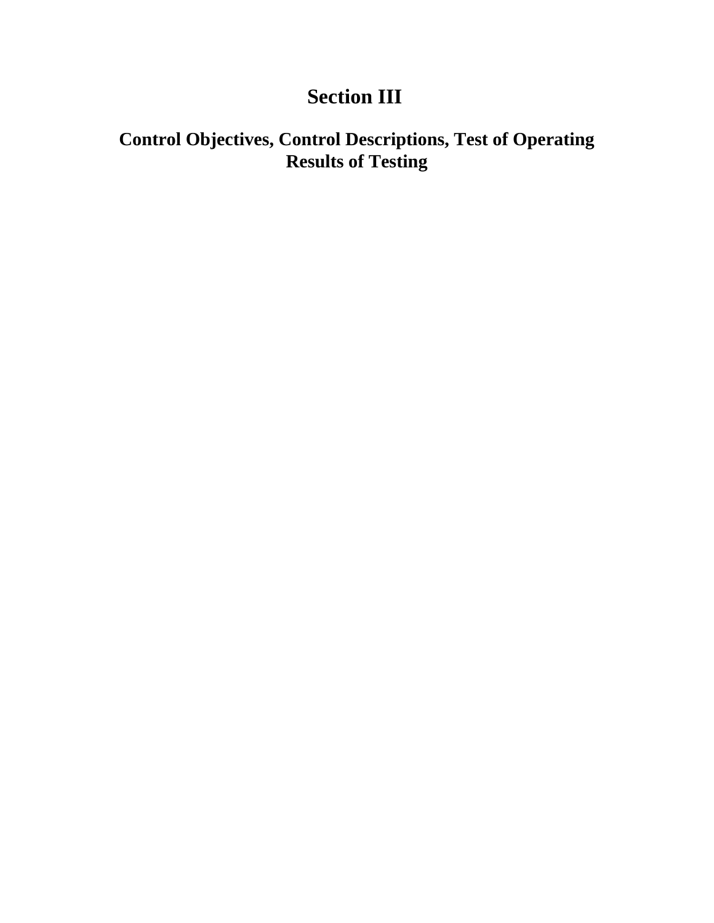# **Section III**

# **Control Objectives, Control Descriptions, Test of Operating Results of Testing**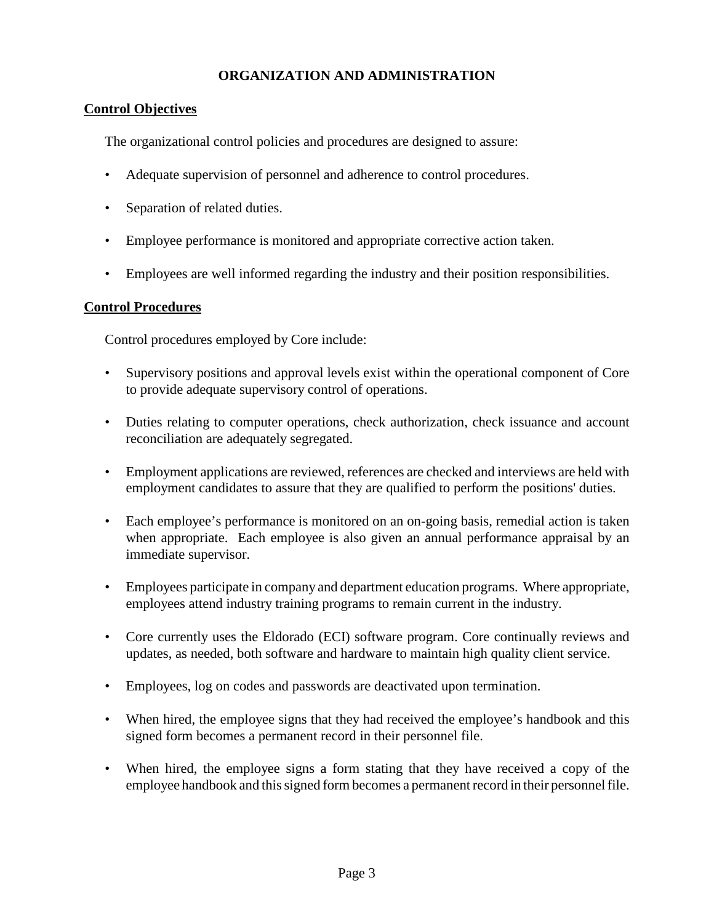#### **ORGANIZATION AND ADMINISTRATION**

#### **Control Objectives**

The organizational control policies and procedures are designed to assure:

- Adequate supervision of personnel and adherence to control procedures.
- Separation of related duties.
- Employee performance is monitored and appropriate corrective action taken.
- Employees are well informed regarding the industry and their position responsibilities.

#### **Control Procedures**

Control procedures employed by Core include:

- Supervisory positions and approval levels exist within the operational component of Core to provide adequate supervisory control of operations.
- Duties relating to computer operations, check authorization, check issuance and account reconciliation are adequately segregated.
- Employment applications are reviewed, references are checked and interviews are held with employment candidates to assure that they are qualified to perform the positions' duties.
- Each employee's performance is monitored on an on-going basis, remedial action is taken when appropriate. Each employee is also given an annual performance appraisal by an immediate supervisor.
- Employees participate in company and department education programs. Where appropriate, employees attend industry training programs to remain current in the industry.
- Core currently uses the Eldorado (ECI) software program. Core continually reviews and updates, as needed, both software and hardware to maintain high quality client service.
- Employees, log on codes and passwords are deactivated upon termination.
- When hired, the employee signs that they had received the employee's handbook and this signed form becomes a permanent record in their personnel file.
- When hired, the employee signs a form stating that they have received a copy of the employee handbook and this signed form becomes a permanent record in their personnel file.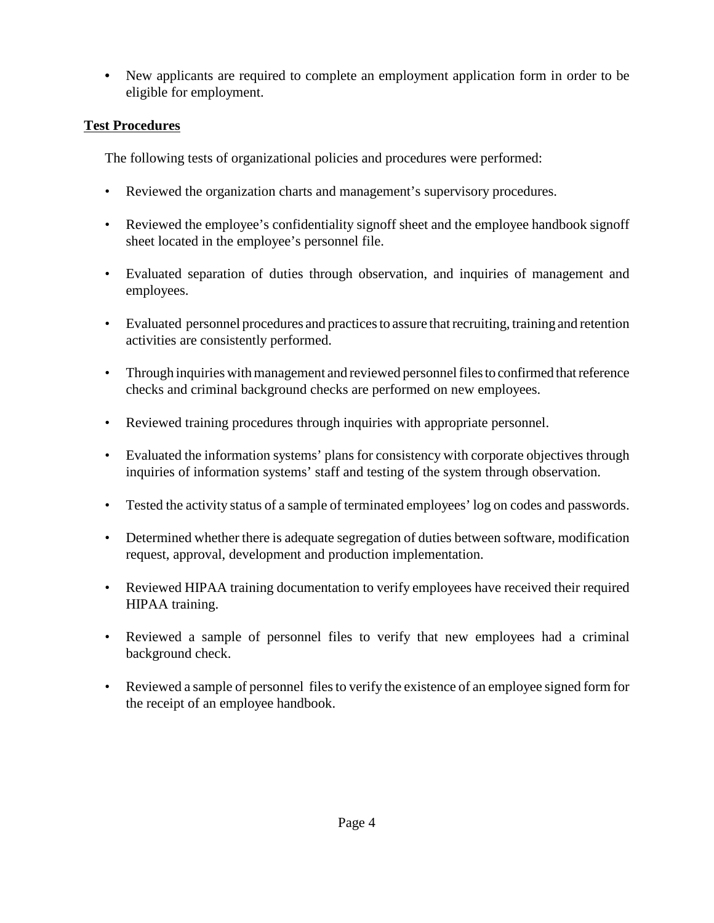**•** New applicants are required to complete an employment application form in order to be eligible for employment.

## **Test Procedures**

The following tests of organizational policies and procedures were performed:

- Reviewed the organization charts and management's supervisory procedures.
- Reviewed the employee's confidentiality signoff sheet and the employee handbook signoff sheet located in the employee's personnel file.
- Evaluated separation of duties through observation, and inquiries of management and employees.
- Evaluated personnel procedures and practices to assure that recruiting, training and retention activities are consistently performed.
- Through inquiries with management and reviewed personnel files to confirmed that reference checks and criminal background checks are performed on new employees.
- Reviewed training procedures through inquiries with appropriate personnel.
- Evaluated the information systems' plans for consistency with corporate objectives through inquiries of information systems' staff and testing of the system through observation.
- Tested the activity status of a sample of terminated employees' log on codes and passwords.
- Determined whether there is adequate segregation of duties between software, modification request, approval, development and production implementation.
- Reviewed HIPAA training documentation to verify employees have received their required HIPAA training.
- Reviewed a sample of personnel files to verify that new employees had a criminal background check.
- Reviewed a sample of personnel files to verify the existence of an employee signed form for the receipt of an employee handbook.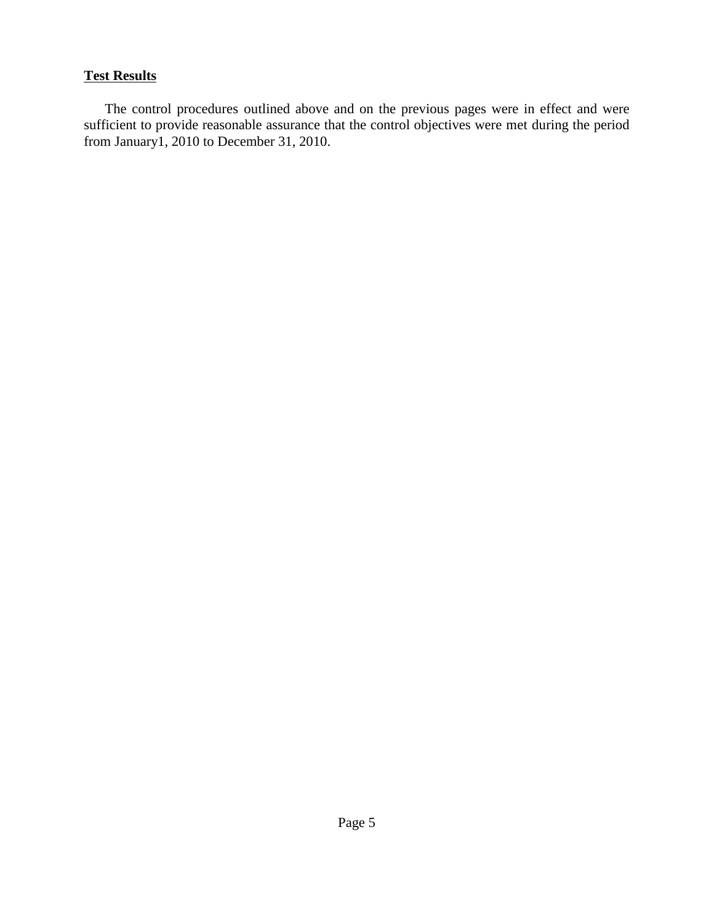### **Test Results**

The control procedures outlined above and on the previous pages were in effect and were sufficient to provide reasonable assurance that the control objectives were met during the period from January1, 2010 to December 31, 2010.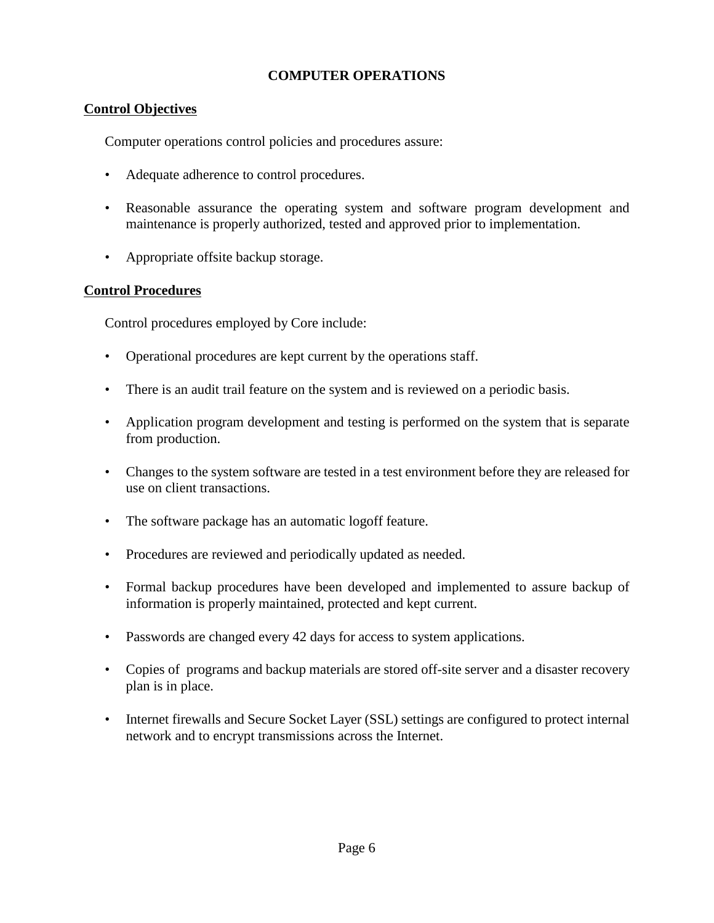### **COMPUTER OPERATIONS**

## **Control Objectives**

Computer operations control policies and procedures assure:

- Adequate adherence to control procedures.
- Reasonable assurance the operating system and software program development and maintenance is properly authorized, tested and approved prior to implementation.
- Appropriate offsite backup storage.

#### **Control Procedures**

Control procedures employed by Core include:

- Operational procedures are kept current by the operations staff.
- There is an audit trail feature on the system and is reviewed on a periodic basis.
- Application program development and testing is performed on the system that is separate from production.
- Changes to the system software are tested in a test environment before they are released for use on client transactions.
- The software package has an automatic logoff feature.
- Procedures are reviewed and periodically updated as needed.
- Formal backup procedures have been developed and implemented to assure backup of information is properly maintained, protected and kept current.
- Passwords are changed every 42 days for access to system applications.
- Copies of programs and backup materials are stored off-site server and a disaster recovery plan is in place.
- Internet firewalls and Secure Socket Layer (SSL) settings are configured to protect internal network and to encrypt transmissions across the Internet.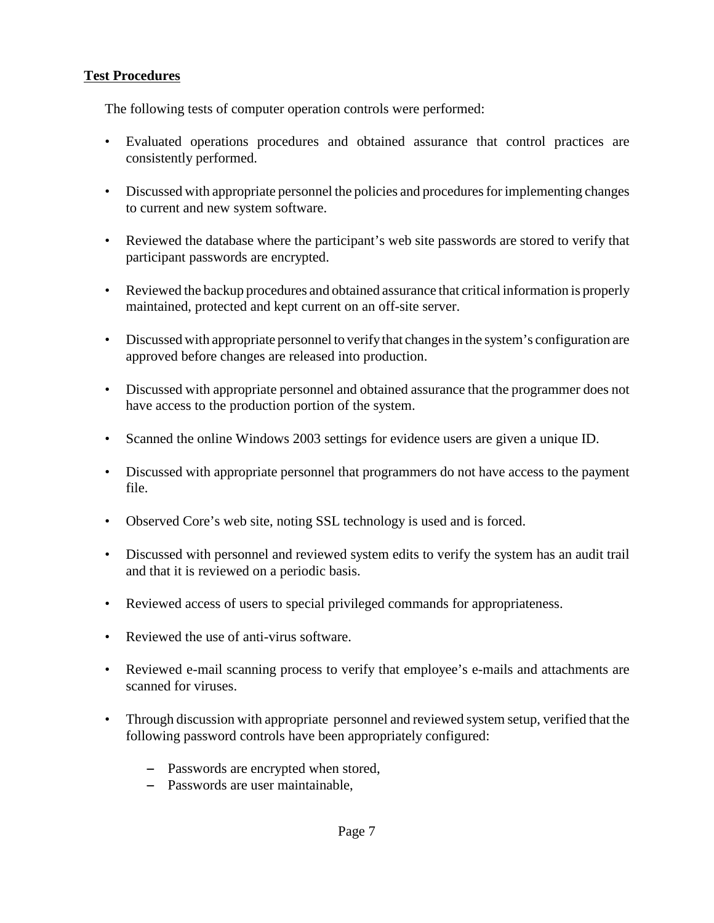## **Test Procedures**

The following tests of computer operation controls were performed:

- Evaluated operations procedures and obtained assurance that control practices are consistently performed.
- Discussed with appropriate personnel the policies and procedures for implementing changes to current and new system software.
- Reviewed the database where the participant's web site passwords are stored to verify that participant passwords are encrypted.
- Reviewed the backup procedures and obtained assurance that critical information is properly maintained, protected and kept current on an off-site server.
- Discussed with appropriate personnel to verify that changes in the system's configuration are approved before changes are released into production.
- Discussed with appropriate personnel and obtained assurance that the programmer does not have access to the production portion of the system.
- Scanned the online Windows 2003 settings for evidence users are given a unique ID.
- Discussed with appropriate personnel that programmers do not have access to the payment file.
- Observed Core's web site, noting SSL technology is used and is forced.
- Discussed with personnel and reviewed system edits to verify the system has an audit trail and that it is reviewed on a periodic basis.
- Reviewed access of users to special privileged commands for appropriateness.
- Reviewed the use of anti-virus software.
- Reviewed e-mail scanning process to verify that employee's e-mails and attachments are scanned for viruses.
- Through discussion with appropriate personnel and reviewed system setup, verified that the following password controls have been appropriately configured:
	- Passwords are encrypted when stored,
	- Passwords are user maintainable,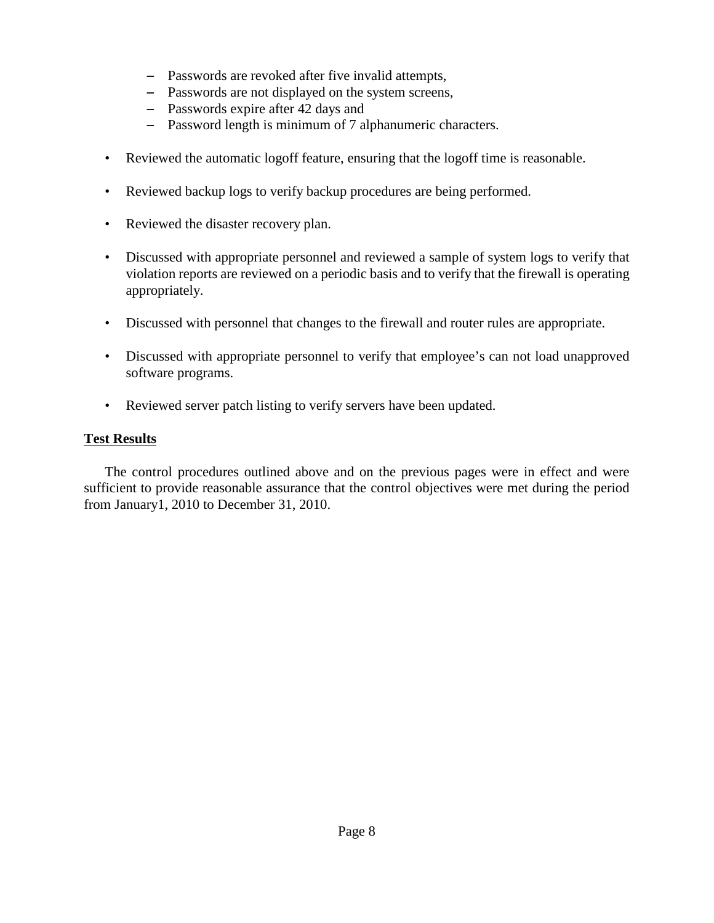- Passwords are revoked after five invalid attempts,
- Passwords are not displayed on the system screens,
- $-$  Passwords expire after 42 days and
- $-$  Password length is minimum of 7 alphanumeric characters.
- Reviewed the automatic logoff feature, ensuring that the logoff time is reasonable.
- Reviewed backup logs to verify backup procedures are being performed.
- Reviewed the disaster recovery plan.
- Discussed with appropriate personnel and reviewed a sample of system logs to verify that violation reports are reviewed on a periodic basis and to verify that the firewall is operating appropriately.
- Discussed with personnel that changes to the firewall and router rules are appropriate.
- Discussed with appropriate personnel to verify that employee's can not load unapproved software programs.
- Reviewed server patch listing to verify servers have been updated.

#### **Test Results**

The control procedures outlined above and on the previous pages were in effect and were sufficient to provide reasonable assurance that the control objectives were met during the period from January1, 2010 to December 31, 2010.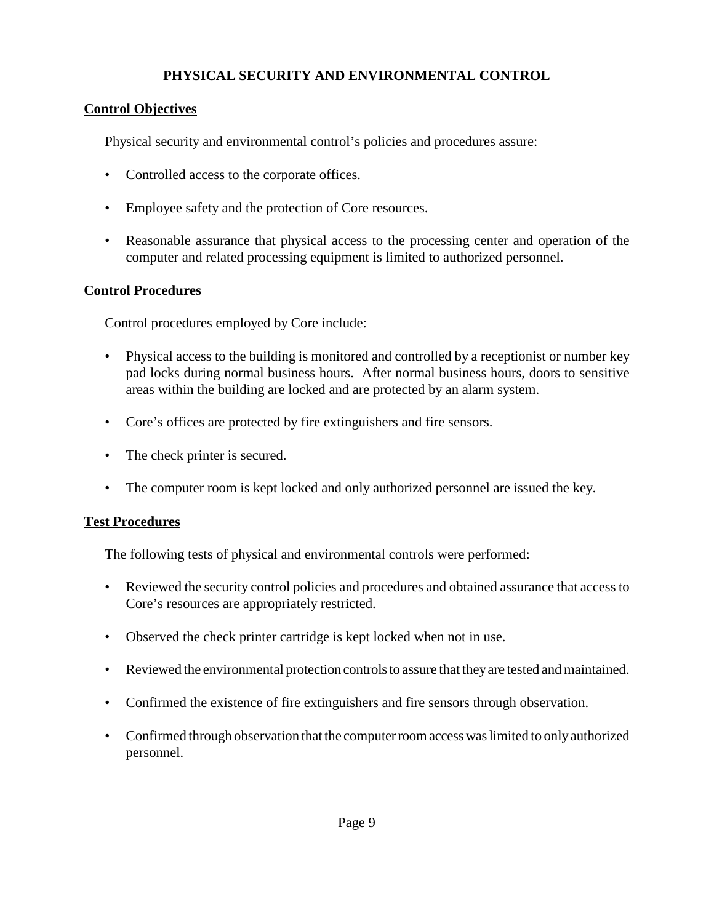## **PHYSICAL SECURITY AND ENVIRONMENTAL CONTROL**

## **Control Objectives**

Physical security and environmental control's policies and procedures assure:

- Controlled access to the corporate offices.
- Employee safety and the protection of Core resources.
- Reasonable assurance that physical access to the processing center and operation of the computer and related processing equipment is limited to authorized personnel.

## **Control Procedures**

Control procedures employed by Core include:

- Physical access to the building is monitored and controlled by a receptionist or number key pad locks during normal business hours. After normal business hours, doors to sensitive areas within the building are locked and are protected by an alarm system.
- Core's offices are protected by fire extinguishers and fire sensors.
- The check printer is secured.
- The computer room is kept locked and only authorized personnel are issued the key.

## **Test Procedures**

The following tests of physical and environmental controls were performed:

- Reviewed the security control policies and procedures and obtained assurance that access to Core's resources are appropriately restricted.
- Observed the check printer cartridge is kept locked when not in use.
- Reviewed the environmental protection controls to assure that they are tested and maintained.
- Confirmed the existence of fire extinguishers and fire sensors through observation.
- Confirmed through observation that the computer room access was limited to only authorized personnel.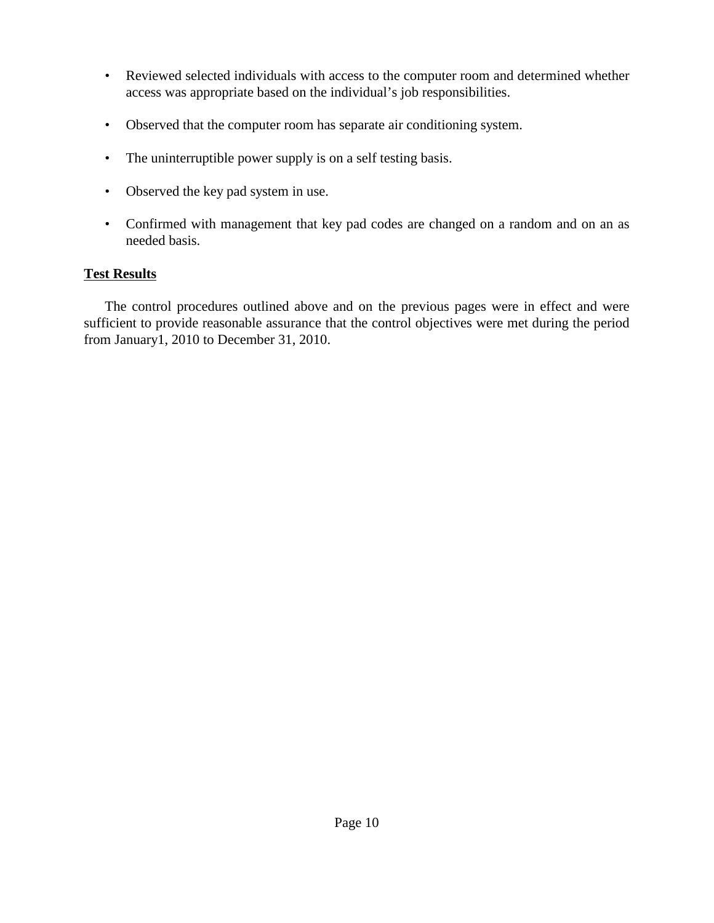- Reviewed selected individuals with access to the computer room and determined whether access was appropriate based on the individual's job responsibilities.
- Observed that the computer room has separate air conditioning system.
- The uninterruptible power supply is on a self testing basis.
- Observed the key pad system in use.
- Confirmed with management that key pad codes are changed on a random and on an as needed basis.

#### **Test Results**

The control procedures outlined above and on the previous pages were in effect and were sufficient to provide reasonable assurance that the control objectives were met during the period from January1, 2010 to December 31, 2010.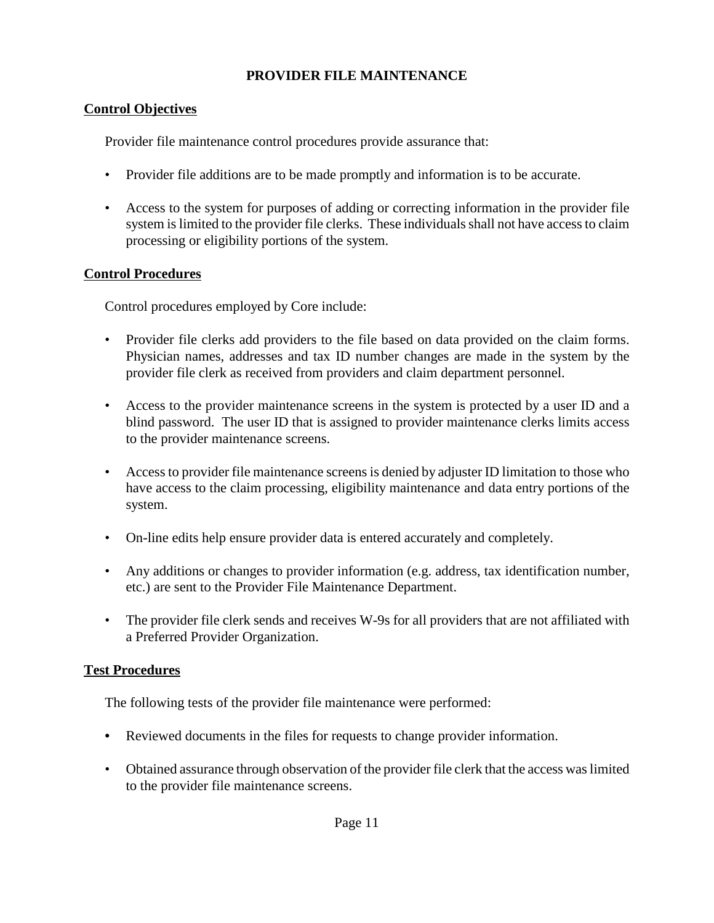## **PROVIDER FILE MAINTENANCE**

## **Control Objectives**

Provider file maintenance control procedures provide assurance that:

- Provider file additions are to be made promptly and information is to be accurate.
- Access to the system for purposes of adding or correcting information in the provider file system is limited to the provider file clerks. These individuals shall not have access to claim processing or eligibility portions of the system.

### **Control Procedures**

Control procedures employed by Core include:

- Provider file clerks add providers to the file based on data provided on the claim forms. Physician names, addresses and tax ID number changes are made in the system by the provider file clerk as received from providers and claim department personnel.
- Access to the provider maintenance screens in the system is protected by a user ID and a blind password. The user ID that is assigned to provider maintenance clerks limits access to the provider maintenance screens.
- Access to provider file maintenance screens is denied by adjuster ID limitation to those who have access to the claim processing, eligibility maintenance and data entry portions of the system.
- On-line edits help ensure provider data is entered accurately and completely.
- Any additions or changes to provider information (e.g. address, tax identification number, etc.) are sent to the Provider File Maintenance Department.
- The provider file clerk sends and receives W-9s for all providers that are not affiliated with a Preferred Provider Organization.

## **Test Procedures**

The following tests of the provider file maintenance were performed:

- **•** Reviewed documents in the files for requests to change provider information.
- Obtained assurance through observation of the provider file clerk that the access was limited to the provider file maintenance screens.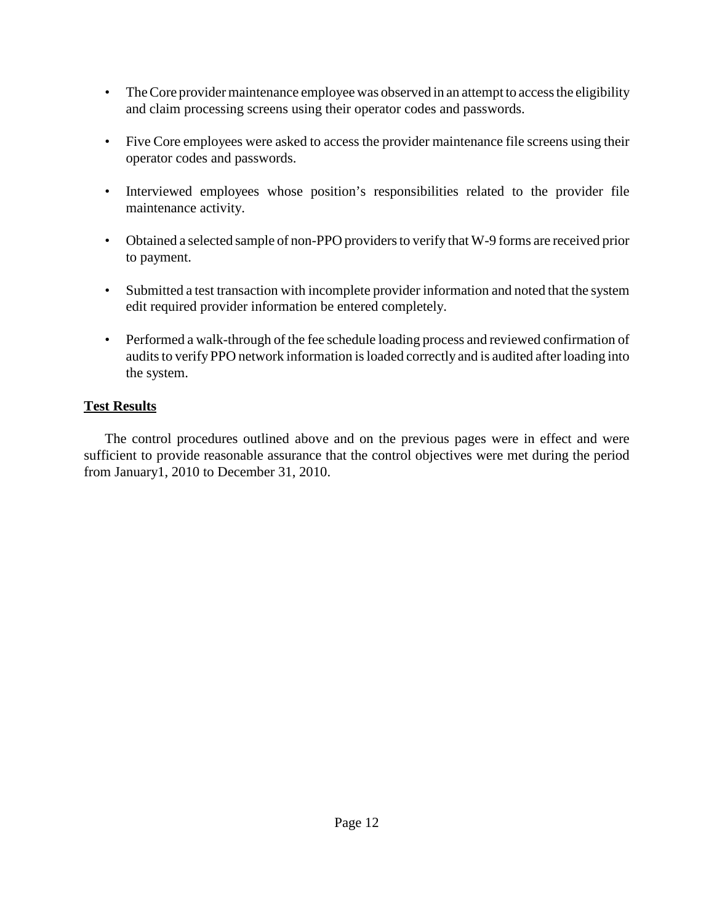- The Core provider maintenance employee was observed in an attempt to access the eligibility and claim processing screens using their operator codes and passwords.
- Five Core employees were asked to access the provider maintenance file screens using their operator codes and passwords.
- Interviewed employees whose position's responsibilities related to the provider file maintenance activity.
- Obtained a selected sample of non-PPO providers to verify that W-9 forms are received prior to payment.
- Submitted a test transaction with incomplete provider information and noted that the system edit required provider information be entered completely.
- Performed a walk-through of the fee schedule loading process and reviewed confirmation of audits to verify PPO network information is loaded correctly and is audited after loading into the system.

## **Test Results**

The control procedures outlined above and on the previous pages were in effect and were sufficient to provide reasonable assurance that the control objectives were met during the period from January1, 2010 to December 31, 2010.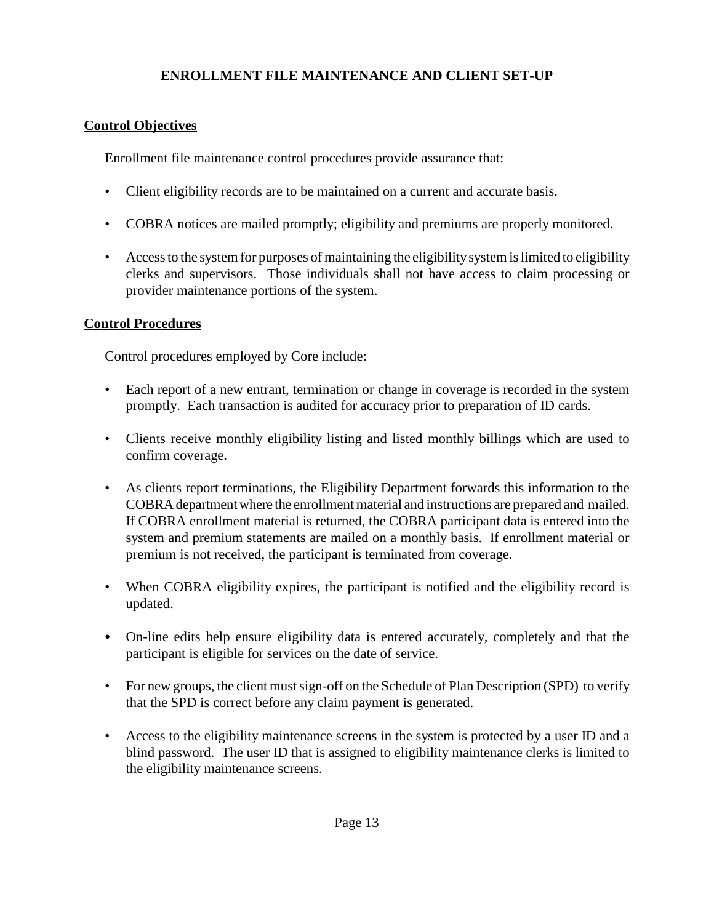## **ENROLLMENT FILE MAINTENANCE AND CLIENT SET-UP**

## **Control Objectives**

Enrollment file maintenance control procedures provide assurance that:

- Client eligibility records are to be maintained on a current and accurate basis.
- COBRA notices are mailed promptly; eligibility and premiums are properly monitored.
- Access to the system for purposes of maintaining the eligibility system is limited to eligibility clerks and supervisors. Those individuals shall not have access to claim processing or provider maintenance portions of the system.

## **Control Procedures**

Control procedures employed by Core include:

- Each report of a new entrant, termination or change in coverage is recorded in the system promptly. Each transaction is audited for accuracy prior to preparation of ID cards.
- Clients receive monthly eligibility listing and listed monthly billings which are used to confirm coverage.
- As clients report terminations, the Eligibility Department forwards this information to the COBRA department where the enrollment material and instructions are prepared and mailed. If COBRA enrollment material is returned, the COBRA participant data is entered into the system and premium statements are mailed on a monthly basis. If enrollment material or premium is not received, the participant is terminated from coverage.
- When COBRA eligibility expires, the participant is notified and the eligibility record is updated.
- On-line edits help ensure eligibility data is entered accurately, completely and that the participant is eligible for services on the date of service.
- For new groups, the client must sign-off on the Schedule of Plan Description (SPD) to verify that the SPD is correct before any claim payment is generated.
- Access to the eligibility maintenance screens in the system is protected by a user ID and a blind password. The user ID that is assigned to eligibility maintenance clerks is limited to the eligibility maintenance screens.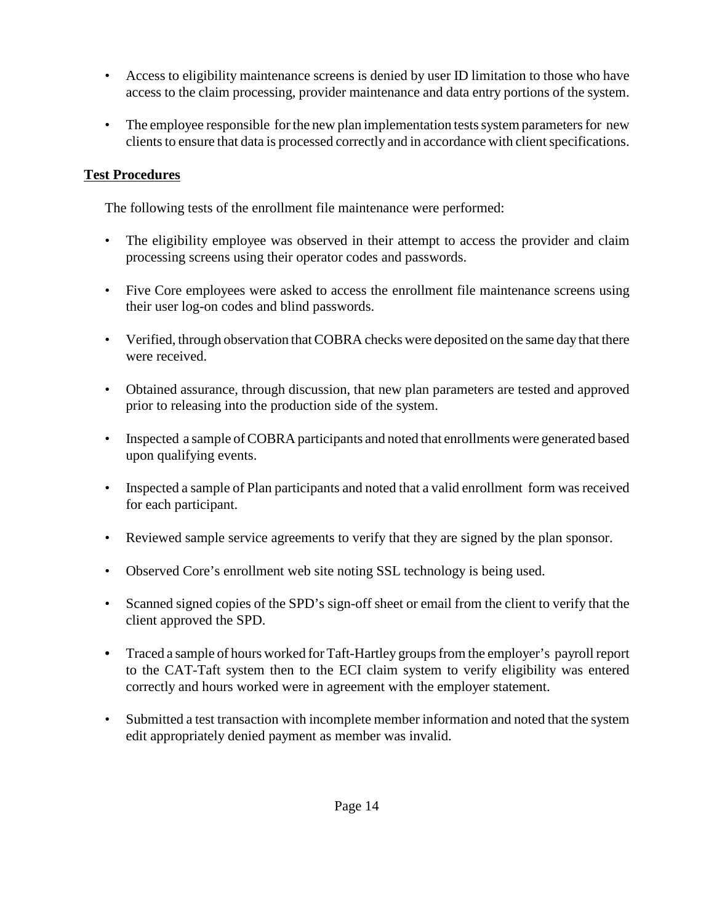- Access to eligibility maintenance screens is denied by user ID limitation to those who have access to the claim processing, provider maintenance and data entry portions of the system.
- The employee responsible for the new plan implementation tests system parameters for new clients to ensure that data is processed correctly and in accordance with client specifications.

## **Test Procedures**

The following tests of the enrollment file maintenance were performed:

- The eligibility employee was observed in their attempt to access the provider and claim processing screens using their operator codes and passwords.
- Five Core employees were asked to access the enrollment file maintenance screens using their user log-on codes and blind passwords.
- Verified, through observation that COBRA checks were deposited on the same day that there were received.
- Obtained assurance, through discussion, that new plan parameters are tested and approved prior to releasing into the production side of the system.
- Inspected a sample of COBRA participants and noted that enrollments were generated based upon qualifying events.
- Inspected a sample of Plan participants and noted that a valid enrollment form was received for each participant.
- Reviewed sample service agreements to verify that they are signed by the plan sponsor.
- Observed Core's enrollment web site noting SSL technology is being used.
- Scanned signed copies of the SPD's sign-off sheet or email from the client to verify that the client approved the SPD.
- Traced a sample of hours worked for Taft-Hartley groups from the employer's payroll report to the CAT-Taft system then to the ECI claim system to verify eligibility was entered correctly and hours worked were in agreement with the employer statement.
- Submitted a test transaction with incomplete member information and noted that the system edit appropriately denied payment as member was invalid.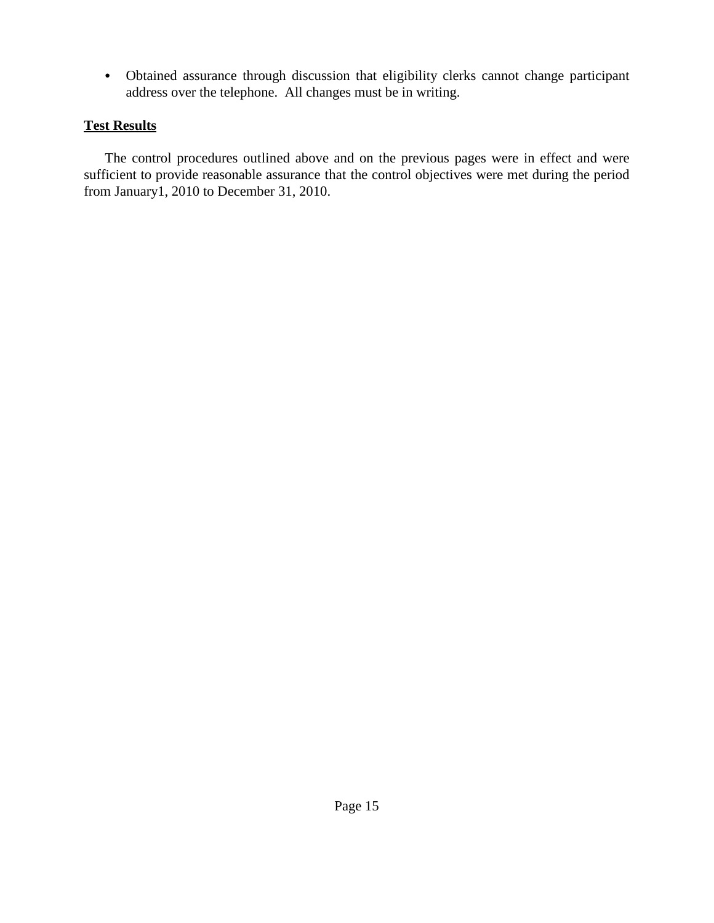Obtained assurance through discussion that eligibility clerks cannot change participant address over the telephone. All changes must be in writing.

## **Test Results**

The control procedures outlined above and on the previous pages were in effect and were sufficient to provide reasonable assurance that the control objectives were met during the period from January1, 2010 to December 31, 2010.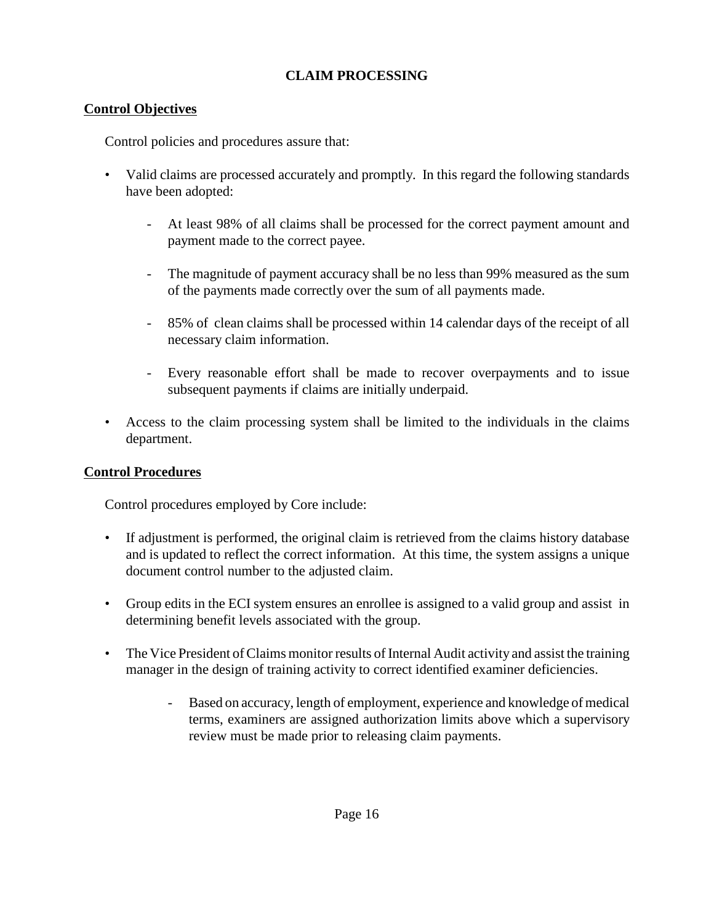## **CLAIM PROCESSING**

## **Control Objectives**

Control policies and procedures assure that:

- Valid claims are processed accurately and promptly. In this regard the following standards have been adopted:
	- At least 98% of all claims shall be processed for the correct payment amount and payment made to the correct payee.
	- The magnitude of payment accuracy shall be no less than 99% measured as the sum of the payments made correctly over the sum of all payments made.
	- 85% of clean claims shall be processed within 14 calendar days of the receipt of all necessary claim information.
	- Every reasonable effort shall be made to recover overpayments and to issue subsequent payments if claims are initially underpaid.
- Access to the claim processing system shall be limited to the individuals in the claims department.

## **Control Procedures**

Control procedures employed by Core include:

- If adjustment is performed, the original claim is retrieved from the claims history database and is updated to reflect the correct information. At this time, the system assigns a unique document control number to the adjusted claim.
- Group edits in the ECI system ensures an enrollee is assigned to a valid group and assist in determining benefit levels associated with the group.
- The Vice President of Claims monitor results of Internal Audit activity and assist the training manager in the design of training activity to correct identified examiner deficiencies.
	- Based on accuracy, length of employment, experience and knowledge of medical terms, examiners are assigned authorization limits above which a supervisory review must be made prior to releasing claim payments.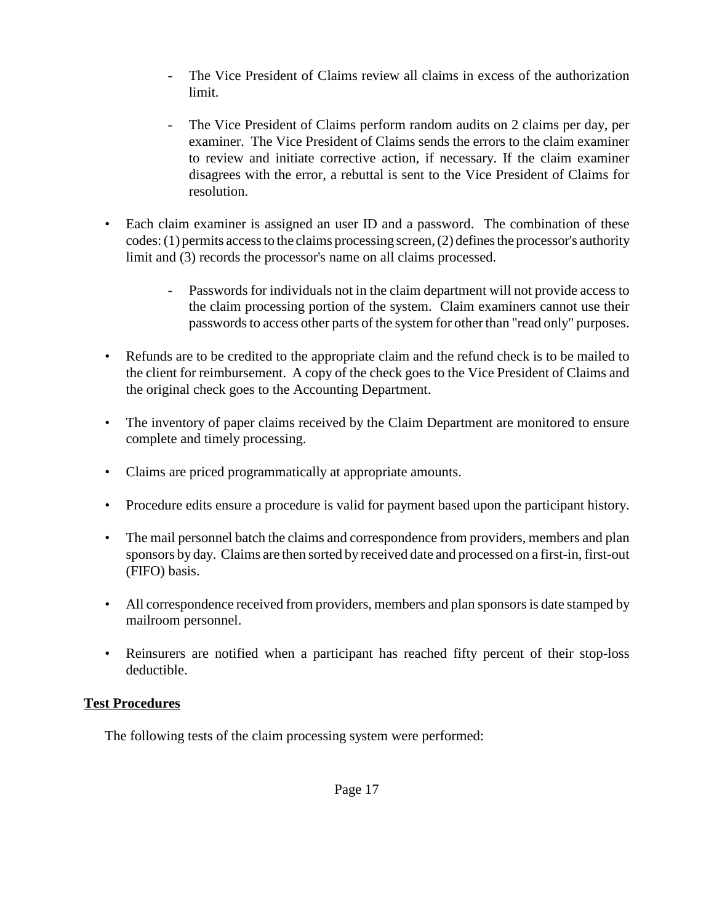- The Vice President of Claims review all claims in excess of the authorization limit.
- The Vice President of Claims perform random audits on 2 claims per day, per examiner. The Vice President of Claims sends the errors to the claim examiner to review and initiate corrective action, if necessary. If the claim examiner disagrees with the error, a rebuttal is sent to the Vice President of Claims for resolution.
- Each claim examiner is assigned an user ID and a password. The combination of these codes:(1) permits accessto the claims processing screen,(2) defines the processor's authority limit and (3) records the processor's name on all claims processed.
	- Passwords for individuals not in the claim department will not provide access to the claim processing portion of the system. Claim examiners cannot use their passwords to access other parts of the system for other than "read only" purposes.
- Refunds are to be credited to the appropriate claim and the refund check is to be mailed to the client for reimbursement. A copy of the check goes to the Vice President of Claims and the original check goes to the Accounting Department.
- The inventory of paper claims received by the Claim Department are monitored to ensure complete and timely processing.
- Claims are priced programmatically at appropriate amounts.
- Procedure edits ensure a procedure is valid for payment based upon the participant history.
- The mail personnel batch the claims and correspondence from providers, members and plan sponsors by day. Claims are then sorted by received date and processed on a first-in, first-out (FIFO) basis.
- All correspondence received from providers, members and plan sponsors is date stamped by mailroom personnel.
- Reinsurers are notified when a participant has reached fifty percent of their stop-loss deductible.

## **Test Procedures**

The following tests of the claim processing system were performed: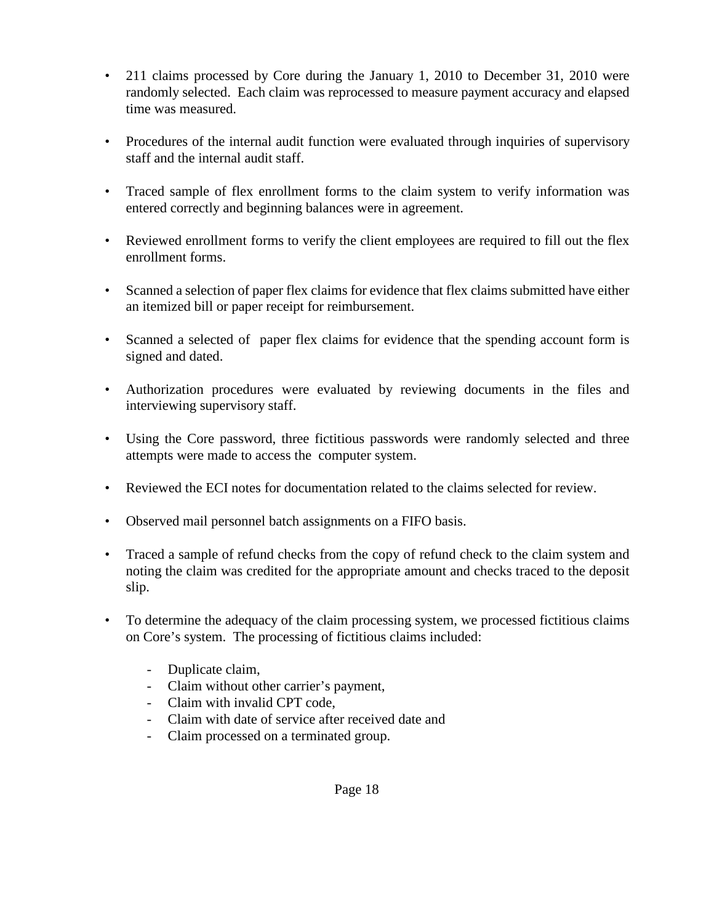- 211 claims processed by Core during the January 1, 2010 to December 31, 2010 were randomly selected. Each claim was reprocessed to measure payment accuracy and elapsed time was measured.
- Procedures of the internal audit function were evaluated through inquiries of supervisory staff and the internal audit staff.
- Traced sample of flex enrollment forms to the claim system to verify information was entered correctly and beginning balances were in agreement.
- Reviewed enrollment forms to verify the client employees are required to fill out the flex enrollment forms.
- Scanned a selection of paper flex claims for evidence that flex claims submitted have either an itemized bill or paper receipt for reimbursement.
- Scanned a selected of paper flex claims for evidence that the spending account form is signed and dated.
- Authorization procedures were evaluated by reviewing documents in the files and interviewing supervisory staff.
- Using the Core password, three fictitious passwords were randomly selected and three attempts were made to access the computer system.
- Reviewed the ECI notes for documentation related to the claims selected for review.
- Observed mail personnel batch assignments on a FIFO basis.
- Traced a sample of refund checks from the copy of refund check to the claim system and noting the claim was credited for the appropriate amount and checks traced to the deposit slip.
- To determine the adequacy of the claim processing system, we processed fictitious claims on Core's system. The processing of fictitious claims included:
	- Duplicate claim,
	- Claim without other carrier's payment,
	- Claim with invalid CPT code,
	- Claim with date of service after received date and
	- Claim processed on a terminated group.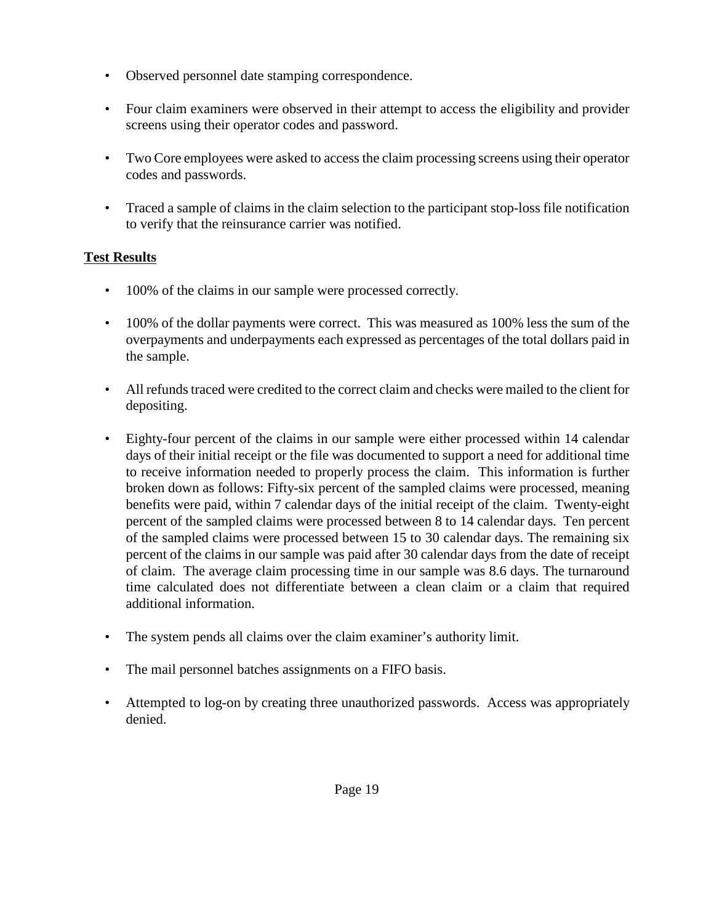- Observed personnel date stamping correspondence.
- Four claim examiners were observed in their attempt to access the eligibility and provider screens using their operator codes and password.
- Two Core employees were asked to access the claim processing screens using their operator codes and passwords.
- Traced a sample of claims in the claim selection to the participant stop-loss file notification to verify that the reinsurance carrier was notified.

## **Test Results**

- 100% of the claims in our sample were processed correctly.
- 100% of the dollar payments were correct. This was measured as 100% less the sum of the overpayments and underpayments each expressed as percentages of the total dollars paid in the sample.
- All refunds traced were credited to the correct claim and checks were mailed to the client for depositing.
- Eighty-four percent of the claims in our sample were either processed within 14 calendar days of their initial receipt or the file was documented to support a need for additional time to receive information needed to properly process the claim. This information is further broken down as follows: Fifty-six percent of the sampled claims were processed, meaning benefits were paid, within 7 calendar days of the initial receipt of the claim. Twenty-eight percent of the sampled claims were processed between 8 to 14 calendar days. Ten percent of the sampled claims were processed between 15 to 30 calendar days. The remaining six percent of the claims in our sample was paid after 30 calendar days from the date of receipt of claim. The average claim processing time in our sample was 8.6 days. The turnaround time calculated does not differentiate between a clean claim or a claim that required additional information.
- The system pends all claims over the claim examiner's authority limit.
- The mail personnel batches assignments on a FIFO basis.
- Attempted to log-on by creating three unauthorized passwords. Access was appropriately denied.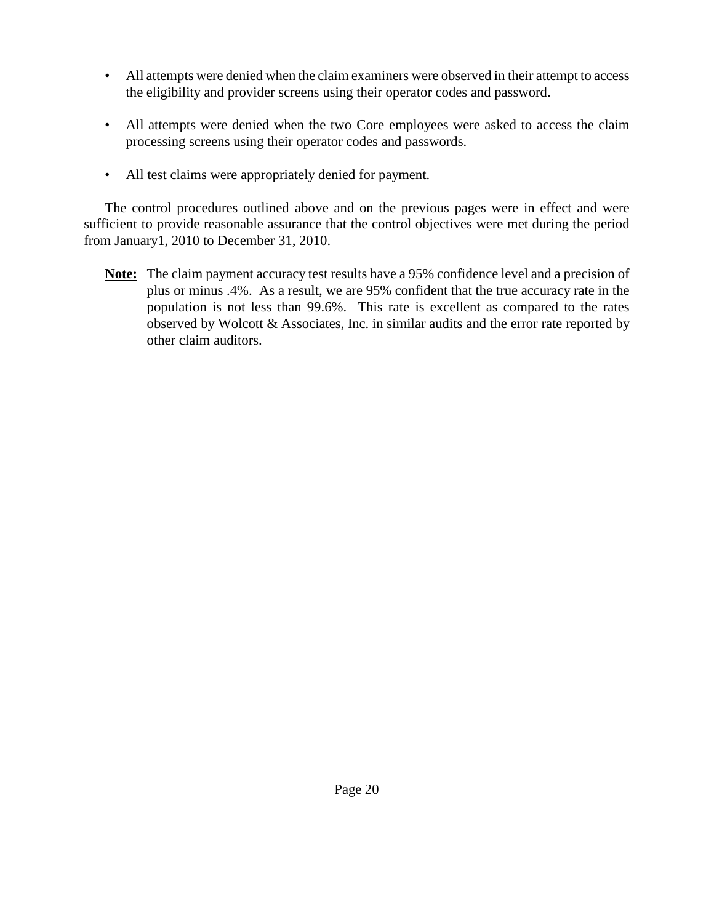- All attempts were denied when the claim examiners were observed in their attempt to access the eligibility and provider screens using their operator codes and password.
- All attempts were denied when the two Core employees were asked to access the claim processing screens using their operator codes and passwords.
- All test claims were appropriately denied for payment.

The control procedures outlined above and on the previous pages were in effect and were sufficient to provide reasonable assurance that the control objectives were met during the period from January1, 2010 to December 31, 2010.

**Note:** The claim payment accuracy test results have a 95% confidence level and a precision of plus or minus .4%. As a result, we are 95% confident that the true accuracy rate in the population is not less than 99.6%. This rate is excellent as compared to the rates observed by Wolcott & Associates, Inc. in similar audits and the error rate reported by other claim auditors.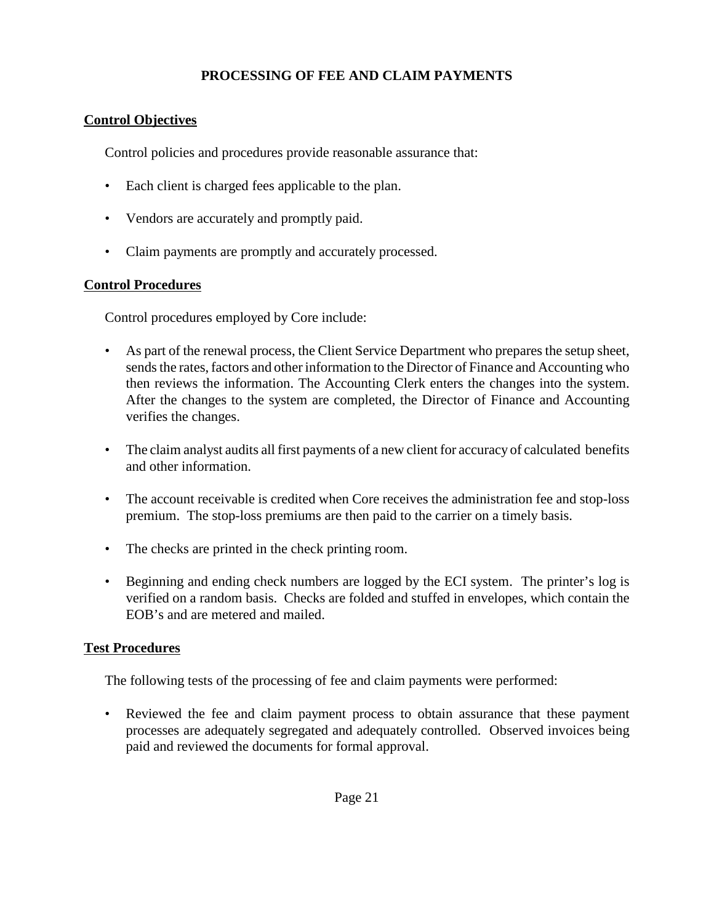## **PROCESSING OF FEE AND CLAIM PAYMENTS**

## **Control Objectives**

Control policies and procedures provide reasonable assurance that:

- Each client is charged fees applicable to the plan.
- Vendors are accurately and promptly paid.
- Claim payments are promptly and accurately processed.

### **Control Procedures**

Control procedures employed by Core include:

- As part of the renewal process, the Client Service Department who prepares the setup sheet, sends the rates, factors and other information to the Director of Finance and Accounting who then reviews the information. The Accounting Clerk enters the changes into the system. After the changes to the system are completed, the Director of Finance and Accounting verifies the changes.
- The claim analyst audits all first payments of a new client for accuracy of calculated benefits and other information.
- The account receivable is credited when Core receives the administration fee and stop-loss premium. The stop-loss premiums are then paid to the carrier on a timely basis.
- The checks are printed in the check printing room.
- Beginning and ending check numbers are logged by the ECI system. The printer's log is verified on a random basis. Checks are folded and stuffed in envelopes, which contain the EOB's and are metered and mailed.

#### **Test Procedures**

The following tests of the processing of fee and claim payments were performed:

• Reviewed the fee and claim payment process to obtain assurance that these payment processes are adequately segregated and adequately controlled. Observed invoices being paid and reviewed the documents for formal approval.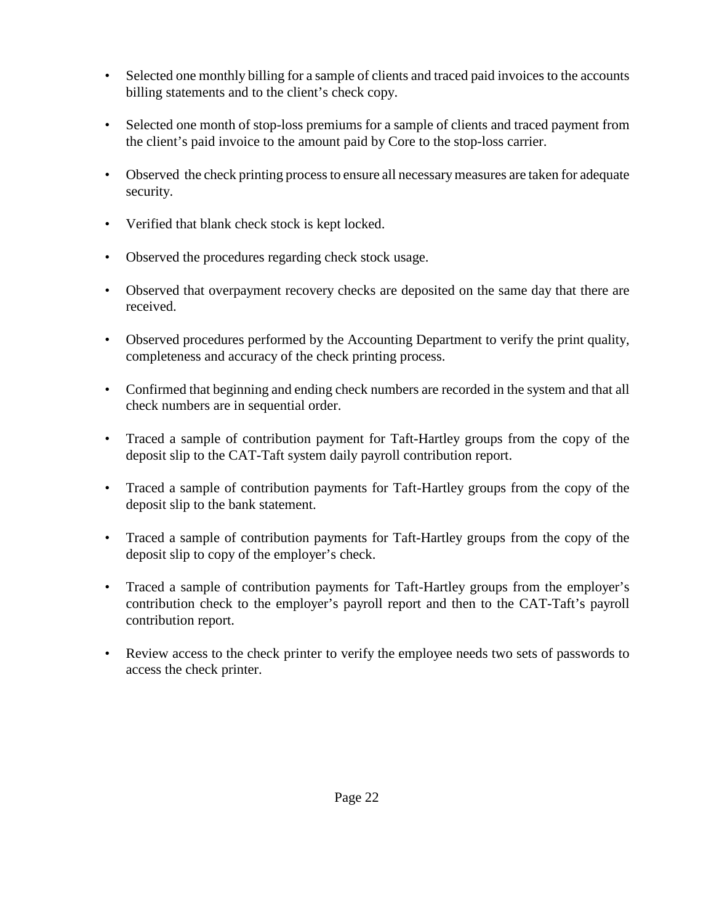- Selected one monthly billing for a sample of clients and traced paid invoices to the accounts billing statements and to the client's check copy.
- Selected one month of stop-loss premiums for a sample of clients and traced payment from the client's paid invoice to the amount paid by Core to the stop-loss carrier.
- Observed the check printing process to ensure all necessary measures are taken for adequate security.
- Verified that blank check stock is kept locked.
- Observed the procedures regarding check stock usage.
- Observed that overpayment recovery checks are deposited on the same day that there are received.
- Observed procedures performed by the Accounting Department to verify the print quality, completeness and accuracy of the check printing process.
- Confirmed that beginning and ending check numbers are recorded in the system and that all check numbers are in sequential order.
- Traced a sample of contribution payment for Taft-Hartley groups from the copy of the deposit slip to the CAT-Taft system daily payroll contribution report.
- Traced a sample of contribution payments for Taft-Hartley groups from the copy of the deposit slip to the bank statement.
- Traced a sample of contribution payments for Taft-Hartley groups from the copy of the deposit slip to copy of the employer's check.
- Traced a sample of contribution payments for Taft-Hartley groups from the employer's contribution check to the employer's payroll report and then to the CAT-Taft's payroll contribution report.
- Review access to the check printer to verify the employee needs two sets of passwords to access the check printer.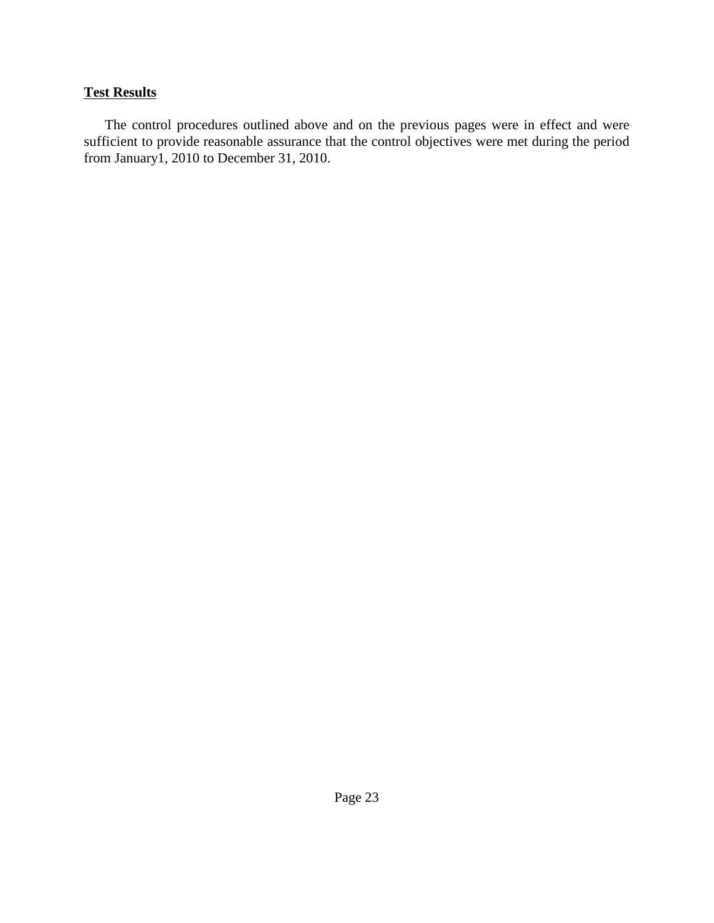## **Test Results**

The control procedures outlined above and on the previous pages were in effect and were sufficient to provide reasonable assurance that the control objectives were met during the period from January1, 2010 to December 31, 2010.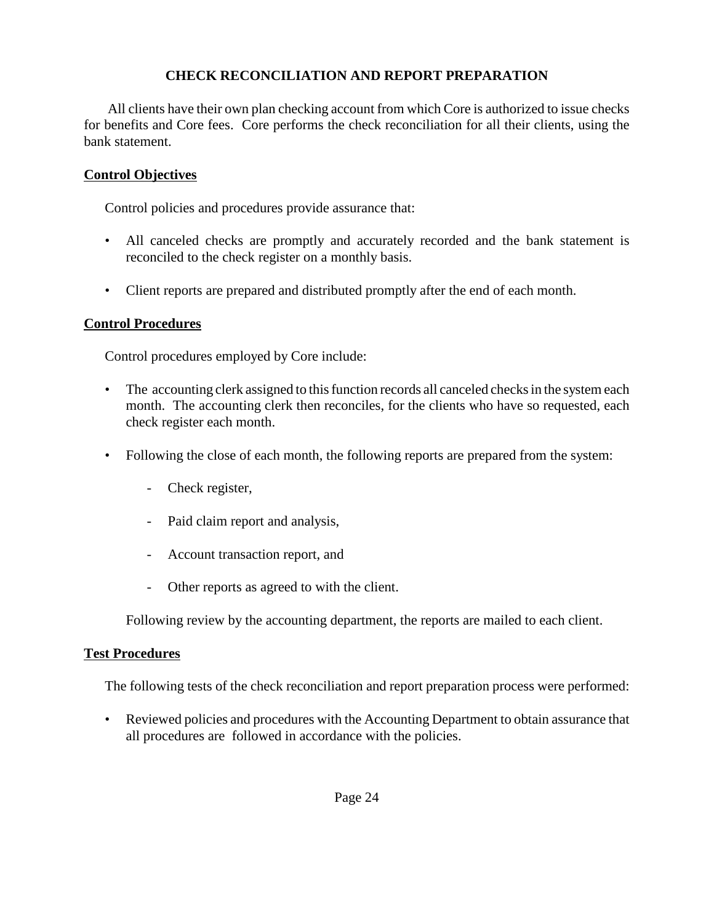### **CHECK RECONCILIATION AND REPORT PREPARATION**

All clients have their own plan checking account from which Core is authorized to issue checks for benefits and Core fees. Core performs the check reconciliation for all their clients, using the bank statement.

#### **Control Objectives**

Control policies and procedures provide assurance that:

- All canceled checks are promptly and accurately recorded and the bank statement is reconciled to the check register on a monthly basis.
- Client reports are prepared and distributed promptly after the end of each month.

### **Control Procedures**

Control procedures employed by Core include:

- The accounting clerk assigned to this function records all canceled checks in the system each month. The accounting clerk then reconciles, for the clients who have so requested, each check register each month.
- Following the close of each month, the following reports are prepared from the system:
	- Check register,
	- Paid claim report and analysis,
	- Account transaction report, and
	- Other reports as agreed to with the client.

Following review by the accounting department, the reports are mailed to each client.

#### **Test Procedures**

The following tests of the check reconciliation and report preparation process were performed:

• Reviewed policies and procedures with the Accounting Department to obtain assurance that all procedures are followed in accordance with the policies.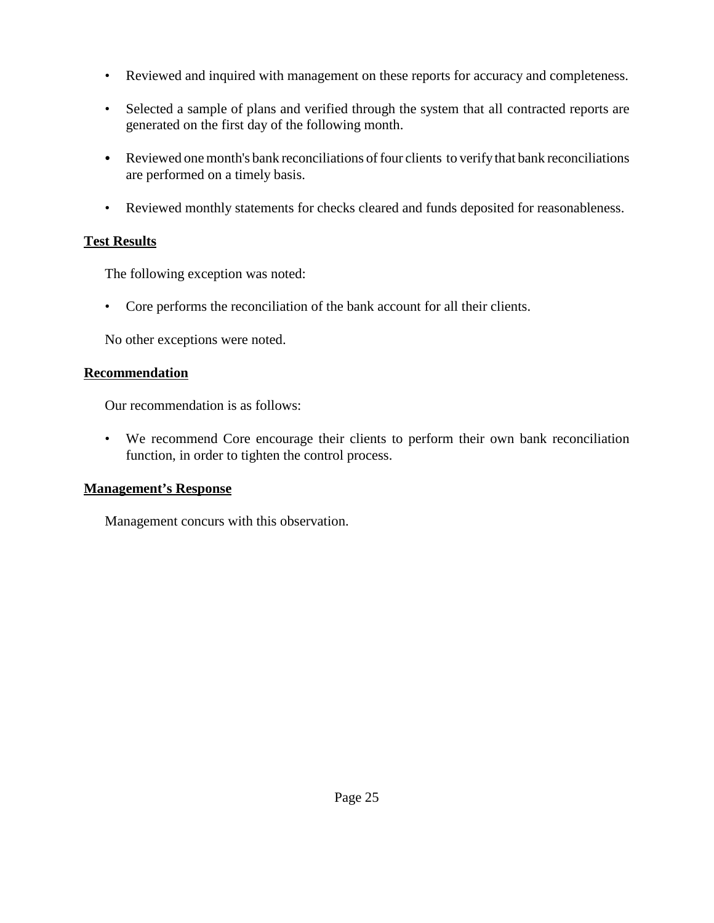- Reviewed and inquired with management on these reports for accuracy and completeness.
- Selected a sample of plans and verified through the system that all contracted reports are generated on the first day of the following month.
- Reviewed one month's bank reconciliations of four clients to verify that bank reconciliations are performed on a timely basis.
- Reviewed monthly statements for checks cleared and funds deposited for reasonableness.

### **Test Results**

The following exception was noted:

• Core performs the reconciliation of the bank account for all their clients.

No other exceptions were noted.

#### **Recommendation**

Our recommendation is as follows:

• We recommend Core encourage their clients to perform their own bank reconciliation function, in order to tighten the control process.

#### **Management's Response**

Management concurs with this observation.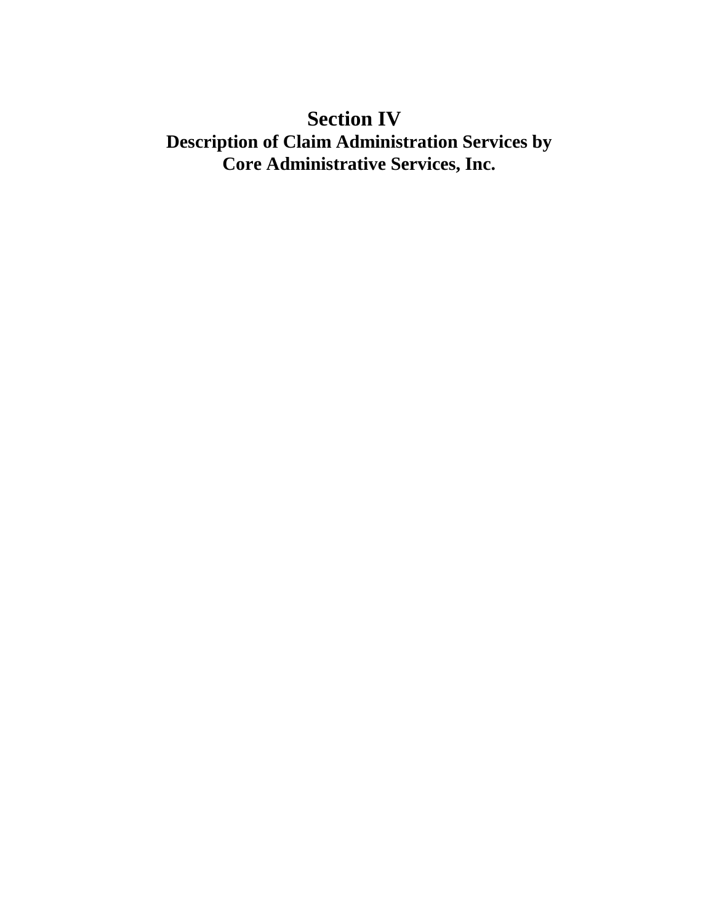# **Section IV**

# **Description of Claim Administration Services by Core Administrative Services, Inc.**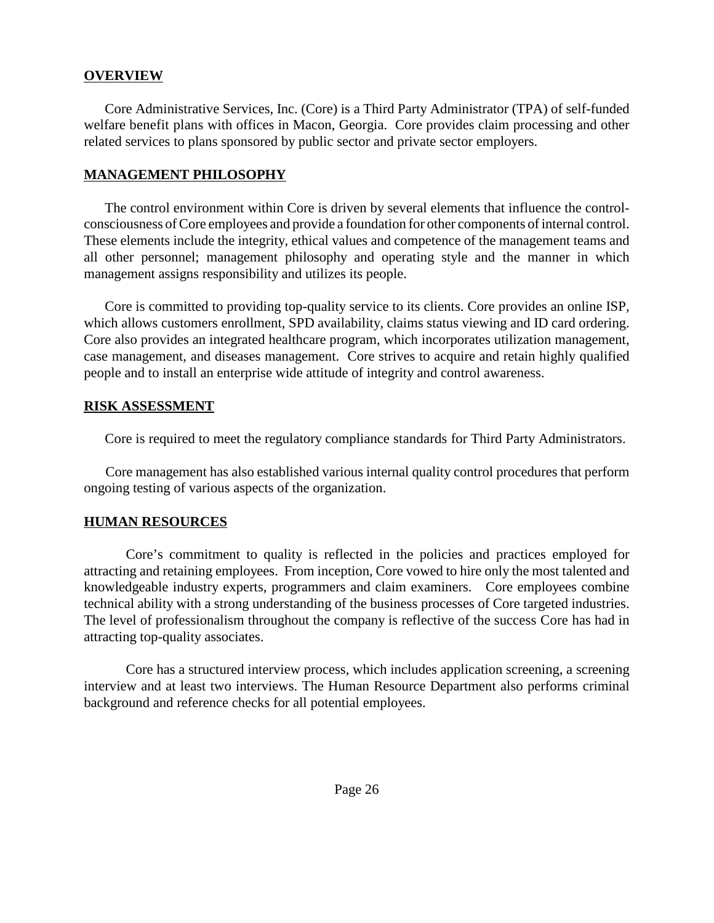#### **OVERVIEW**

Core Administrative Services, Inc. (Core) is a Third Party Administrator (TPA) of self-funded welfare benefit plans with offices in Macon, Georgia. Core provides claim processing and other related services to plans sponsored by public sector and private sector employers.

#### **MANAGEMENT PHILOSOPHY**

The control environment within Core is driven by several elements that influence the controlconsciousness of Core employees and provide a foundation for other components of internal control. These elements include the integrity, ethical values and competence of the management teams and all other personnel; management philosophy and operating style and the manner in which management assigns responsibility and utilizes its people.

Core is committed to providing top-quality service to its clients. Core provides an online ISP, which allows customers enrollment, SPD availability, claims status viewing and ID card ordering. Core also provides an integrated healthcare program, which incorporates utilization management, case management, and diseases management. Core strives to acquire and retain highly qualified people and to install an enterprise wide attitude of integrity and control awareness.

#### **RISK ASSESSMENT**

Core is required to meet the regulatory compliance standards for Third Party Administrators.

Core management has also established various internal quality control procedures that perform ongoing testing of various aspects of the organization.

#### **HUMAN RESOURCES**

Core's commitment to quality is reflected in the policies and practices employed for attracting and retaining employees. From inception, Core vowed to hire only the most talented and knowledgeable industry experts, programmers and claim examiners. Core employees combine technical ability with a strong understanding of the business processes of Core targeted industries. The level of professionalism throughout the company is reflective of the success Core has had in attracting top-quality associates.

Core has a structured interview process, which includes application screening, a screening interview and at least two interviews. The Human Resource Department also performs criminal background and reference checks for all potential employees.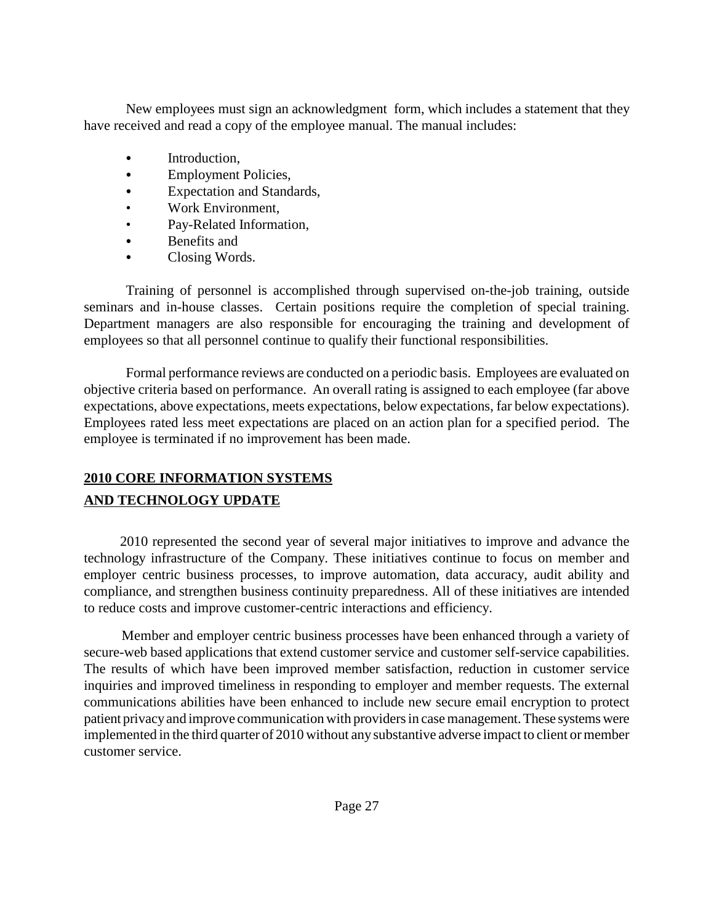New employees must sign an acknowledgment form, which includes a statement that they have received and read a copy of the employee manual. The manual includes:

- Introduction,
- Employment Policies,
- Expectation and Standards,
- Work Environment,
- Pay-Related Information,
- Benefits and
- Closing Words.

Training of personnel is accomplished through supervised on-the-job training, outside seminars and in-house classes. Certain positions require the completion of special training. Department managers are also responsible for encouraging the training and development of employees so that all personnel continue to qualify their functional responsibilities.

Formal performance reviews are conducted on a periodic basis. Employees are evaluated on objective criteria based on performance. An overall rating is assigned to each employee (far above expectations, above expectations, meets expectations, below expectations, far below expectations). Employees rated less meet expectations are placed on an action plan for a specified period. The employee is terminated if no improvement has been made.

## **2010 CORE INFORMATION SYSTEMS AND TECHNOLOGY UPDATE**

2010 represented the second year of several major initiatives to improve and advance the technology infrastructure of the Company. These initiatives continue to focus on member and employer centric business processes, to improve automation, data accuracy, audit ability and compliance, and strengthen business continuity preparedness. All of these initiatives are intended to reduce costs and improve customer-centric interactions and efficiency.

Member and employer centric business processes have been enhanced through a variety of secure-web based applications that extend customer service and customer self-service capabilities. The results of which have been improved member satisfaction, reduction in customer service inquiries and improved timeliness in responding to employer and member requests. The external communications abilities have been enhanced to include new secure email encryption to protect patient privacyand improve communication with providers in case management. These systems were implemented in the third quarter of 2010 without any substantive adverse impact to client or member customer service.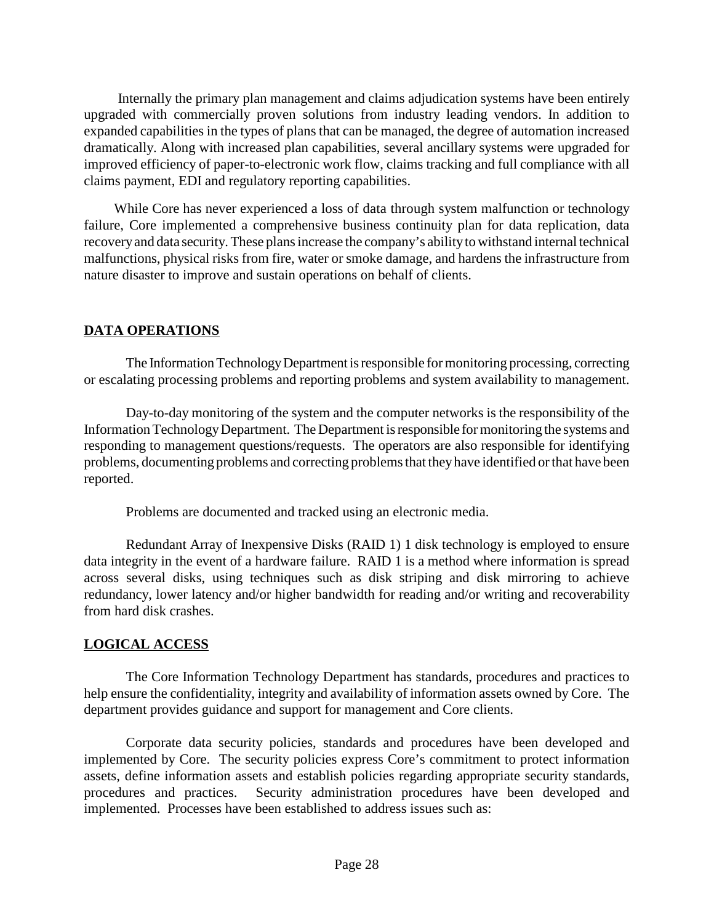Internally the primary plan management and claims adjudication systems have been entirely upgraded with commercially proven solutions from industry leading vendors. In addition to expanded capabilities in the types of plans that can be managed, the degree of automation increased dramatically. Along with increased plan capabilities, several ancillary systems were upgraded for improved efficiency of paper-to-electronic work flow, claims tracking and full compliance with all claims payment, EDI and regulatory reporting capabilities.

While Core has never experienced a loss of data through system malfunction or technology failure, Core implemented a comprehensive business continuity plan for data replication, data recoveryand data security. These plans increase the company's abilityto withstand internal technical malfunctions, physical risks from fire, water or smoke damage, and hardens the infrastructure from nature disaster to improve and sustain operations on behalf of clients.

## **DATA OPERATIONS**

The Information Technology Department is responsible for monitoring processing, correcting or escalating processing problems and reporting problems and system availability to management.

Day-to-day monitoring of the system and the computer networks is the responsibility of the InformationTechnologyDepartment. The Department is responsible for monitoring the systems and responding to management questions/requests. The operators are also responsible for identifying problems, documenting problems and correcting problems that theyhave identified or that have been reported.

Problems are documented and tracked using an electronic media.

Redundant Array of Inexpensive Disks (RAID 1) 1 disk technology is employed to ensure data integrity in the event of a hardware failure. RAID 1 is a method where information is spread across several disks, using techniques such as disk striping and disk mirroring to achieve redundancy, lower latency and/or higher bandwidth for reading and/or writing and recoverability from hard disk crashes.

## **LOGICAL ACCESS**

The Core Information Technology Department has standards, procedures and practices to help ensure the confidentiality, integrity and availability of information assets owned by Core. The department provides guidance and support for management and Core clients.

Corporate data security policies, standards and procedures have been developed and implemented by Core. The security policies express Core's commitment to protect information assets, define information assets and establish policies regarding appropriate security standards, procedures and practices. Security administration procedures have been developed and implemented. Processes have been established to address issues such as: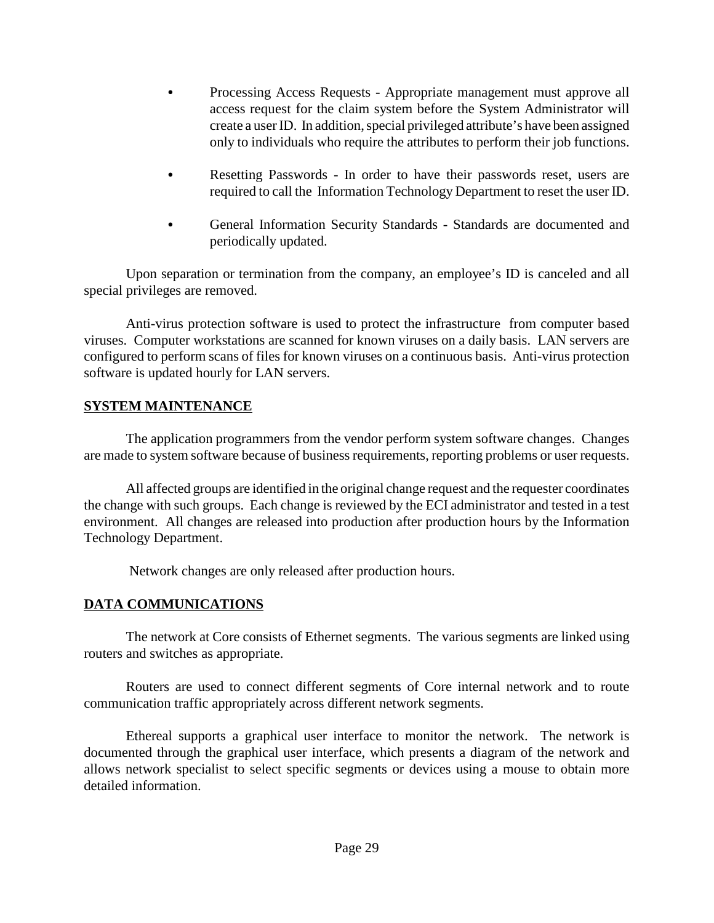- Processing Access Requests Appropriate management must approve all access request for the claim system before the System Administrator will create a userID. In addition, special privileged attribute's have been assigned only to individuals who require the attributes to perform their job functions.
- Resetting Passwords In order to have their passwords reset, users are required to call the Information Technology Department to reset the user ID.
- General Information Security Standards Standards are documented and periodically updated.

Upon separation or termination from the company, an employee's ID is canceled and all special privileges are removed.

Anti-virus protection software is used to protect the infrastructure from computer based viruses. Computer workstations are scanned for known viruses on a daily basis. LAN servers are configured to perform scans of files for known viruses on a continuous basis. Anti-virus protection software is updated hourly for LAN servers.

#### **SYSTEM MAINTENANCE**

The application programmers from the vendor perform system software changes. Changes are made to system software because of business requirements, reporting problems or user requests.

All affected groups are identified in the original change request and the requester coordinates the change with such groups. Each change is reviewed by the ECI administrator and tested in a test environment. All changes are released into production after production hours by the Information Technology Department.

Network changes are only released after production hours.

## **DATA COMMUNICATIONS**

The network at Core consists of Ethernet segments. The various segments are linked using routers and switches as appropriate.

Routers are used to connect different segments of Core internal network and to route communication traffic appropriately across different network segments.

Ethereal supports a graphical user interface to monitor the network. The network is documented through the graphical user interface, which presents a diagram of the network and allows network specialist to select specific segments or devices using a mouse to obtain more detailed information.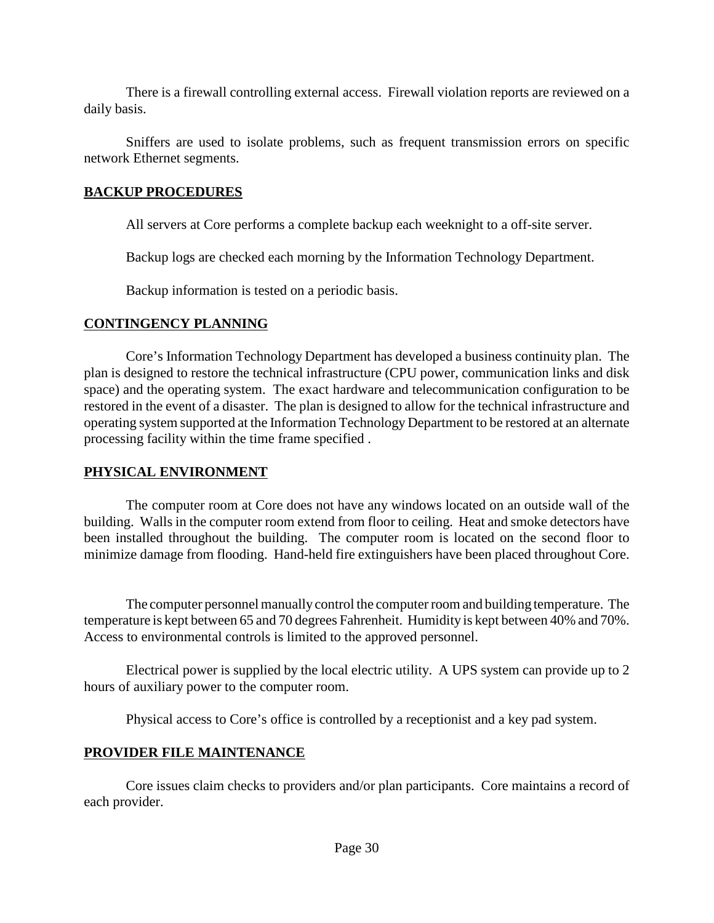There is a firewall controlling external access. Firewall violation reports are reviewed on a daily basis.

Sniffers are used to isolate problems, such as frequent transmission errors on specific network Ethernet segments.

### **BACKUP PROCEDURES**

All servers at Core performs a complete backup each weeknight to a off-site server.

Backup logs are checked each morning by the Information Technology Department.

Backup information is tested on a periodic basis.

### **CONTINGENCY PLANNING**

Core's Information Technology Department has developed a business continuity plan. The plan is designed to restore the technical infrastructure (CPU power, communication links and disk space) and the operating system. The exact hardware and telecommunication configuration to be restored in the event of a disaster. The plan is designed to allow for the technical infrastructure and operating system supported at the Information Technology Department to be restored at an alternate processing facility within the time frame specified .

## **PHYSICAL ENVIRONMENT**

The computer room at Core does not have any windows located on an outside wall of the building. Walls in the computer room extend from floor to ceiling. Heat and smoke detectors have been installed throughout the building. The computer room is located on the second floor to minimize damage from flooding. Hand-held fire extinguishers have been placed throughout Core.

The computer personnel manually control the computer room and building temperature. The temperature is kept between 65 and 70 degrees Fahrenheit. Humidity is kept between 40% and 70%. Access to environmental controls is limited to the approved personnel.

Electrical power is supplied by the local electric utility. A UPS system can provide up to 2 hours of auxiliary power to the computer room.

Physical access to Core's office is controlled by a receptionist and a key pad system.

## **PROVIDER FILE MAINTENANCE**

Core issues claim checks to providers and/or plan participants. Core maintains a record of each provider.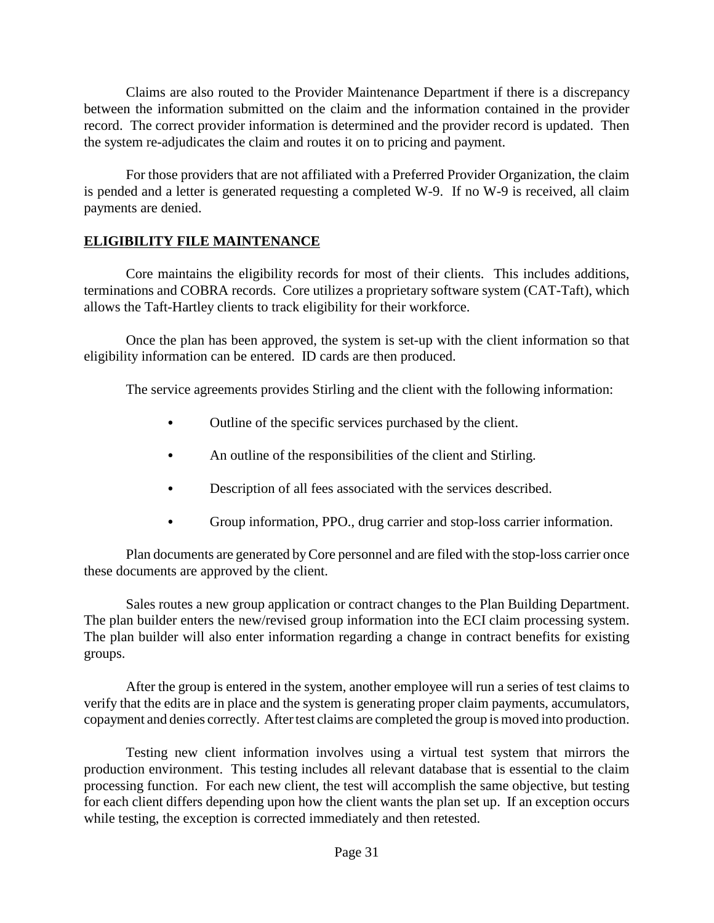Claims are also routed to the Provider Maintenance Department if there is a discrepancy between the information submitted on the claim and the information contained in the provider record. The correct provider information is determined and the provider record is updated. Then the system re-adjudicates the claim and routes it on to pricing and payment.

For those providers that are not affiliated with a Preferred Provider Organization, the claim is pended and a letter is generated requesting a completed W-9. If no W-9 is received, all claim payments are denied.

### **ELIGIBILITY FILE MAINTENANCE**

Core maintains the eligibility records for most of their clients. This includes additions, terminations and COBRA records. Core utilizes a proprietary software system (CAT-Taft), which allows the Taft-Hartley clients to track eligibility for their workforce.

Once the plan has been approved, the system is set-up with the client information so that eligibility information can be entered. ID cards are then produced.

The service agreements provides Stirling and the client with the following information:

- Outline of the specific services purchased by the client.
- An outline of the responsibilities of the client and Stirling.
- Description of all fees associated with the services described.
- Group information, PPO., drug carrier and stop-loss carrier information.

Plan documents are generated byCore personnel and are filed with the stop-loss carrier once these documents are approved by the client.

Sales routes a new group application or contract changes to the Plan Building Department. The plan builder enters the new/revised group information into the ECI claim processing system. The plan builder will also enter information regarding a change in contract benefits for existing groups.

After the group is entered in the system, another employee will run a series of test claims to verify that the edits are in place and the system is generating proper claim payments, accumulators, copayment and denies correctly. After test claims are completed the group is moved into production.

Testing new client information involves using a virtual test system that mirrors the production environment. This testing includes all relevant database that is essential to the claim processing function. For each new client, the test will accomplish the same objective, but testing for each client differs depending upon how the client wants the plan set up. If an exception occurs while testing, the exception is corrected immediately and then retested.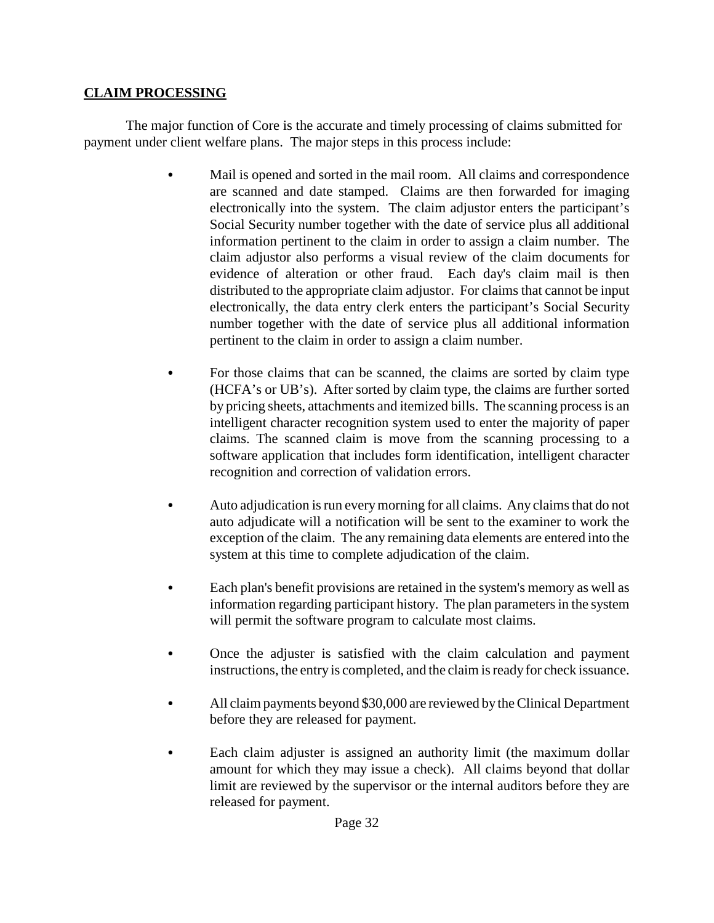## **CLAIM PROCESSING**

The major function of Core is the accurate and timely processing of claims submitted for payment under client welfare plans. The major steps in this process include:

- Mail is opened and sorted in the mail room. All claims and correspondence are scanned and date stamped. Claims are then forwarded for imaging electronically into the system. The claim adjustor enters the participant's Social Security number together with the date of service plus all additional information pertinent to the claim in order to assign a claim number. The claim adjustor also performs a visual review of the claim documents for evidence of alteration or other fraud. Each day's claim mail is then distributed to the appropriate claim adjustor. For claims that cannot be input electronically, the data entry clerk enters the participant's Social Security number together with the date of service plus all additional information pertinent to the claim in order to assign a claim number.
- For those claims that can be scanned, the claims are sorted by claim type (HCFA's or UB's). After sorted by claim type, the claims are further sorted by pricing sheets, attachments and itemized bills. The scanning process is an intelligent character recognition system used to enter the majority of paper claims. The scanned claim is move from the scanning processing to a software application that includes form identification, intelligent character recognition and correction of validation errors.
- Auto adjudication is run every morning for all claims. Any claims that do not auto adjudicate will a notification will be sent to the examiner to work the exception of the claim. The any remaining data elements are entered into the system at this time to complete adjudication of the claim.
- Each plan's benefit provisions are retained in the system's memory as well as information regarding participant history. The plan parameters in the system will permit the software program to calculate most claims.
- Once the adjuster is satisfied with the claim calculation and payment instructions, the entry is completed, and the claim is ready for check issuance.
- All claim payments beyond \$30,000 are reviewed by the Clinical Department before they are released for payment.
- Each claim adjuster is assigned an authority limit (the maximum dollar amount for which they may issue a check). All claims beyond that dollar limit are reviewed by the supervisor or the internal auditors before they are released for payment.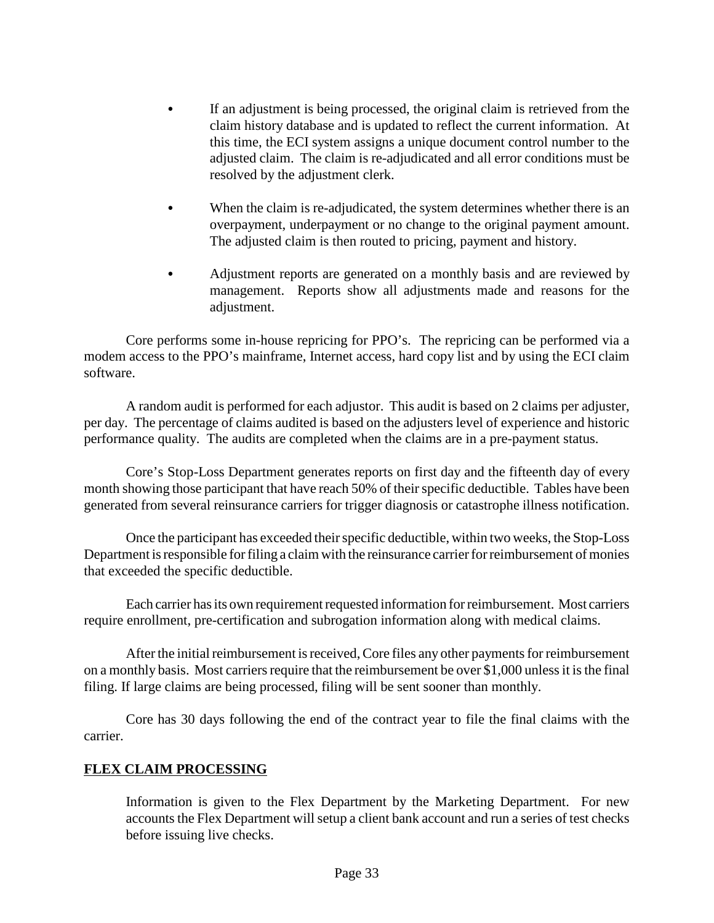- If an adjustment is being processed, the original claim is retrieved from the claim history database and is updated to reflect the current information. At this time, the ECI system assigns a unique document control number to the adjusted claim. The claim is re-adjudicated and all error conditions must be resolved by the adjustment clerk.
- When the claim is re-adjudicated, the system determines whether there is an overpayment, underpayment or no change to the original payment amount. The adjusted claim is then routed to pricing, payment and history.
- Adjustment reports are generated on a monthly basis and are reviewed by management. Reports show all adjustments made and reasons for the adjustment.

Core performs some in-house repricing for PPO's. The repricing can be performed via a modem access to the PPO's mainframe, Internet access, hard copy list and by using the ECI claim software.

A random audit is performed for each adjustor. This audit is based on 2 claims per adjuster, per day. The percentage of claims audited is based on the adjusters level of experience and historic performance quality. The audits are completed when the claims are in a pre-payment status.

Core's Stop-Loss Department generates reports on first day and the fifteenth day of every month showing those participant that have reach 50% of their specific deductible. Tables have been generated from several reinsurance carriers for trigger diagnosis or catastrophe illness notification.

Once the participant has exceeded their specific deductible, within two weeks, the Stop-Loss Department is responsible for filing a claim with the reinsurance carrier for reimbursement of monies that exceeded the specific deductible.

Each carrier has its own requirement requested information for reimbursement. Most carriers require enrollment, pre-certification and subrogation information along with medical claims.

After the initial reimbursement is received, Core files any other payments for reimbursement on a monthly basis. Most carriers require that the reimbursement be over \$1,000 unless it is the final filing. If large claims are being processed, filing will be sent sooner than monthly.

Core has 30 days following the end of the contract year to file the final claims with the carrier.

#### **FLEX CLAIM PROCESSING**

Information is given to the Flex Department by the Marketing Department. For new accounts the Flex Department will setup a client bank account and run a series of test checks before issuing live checks.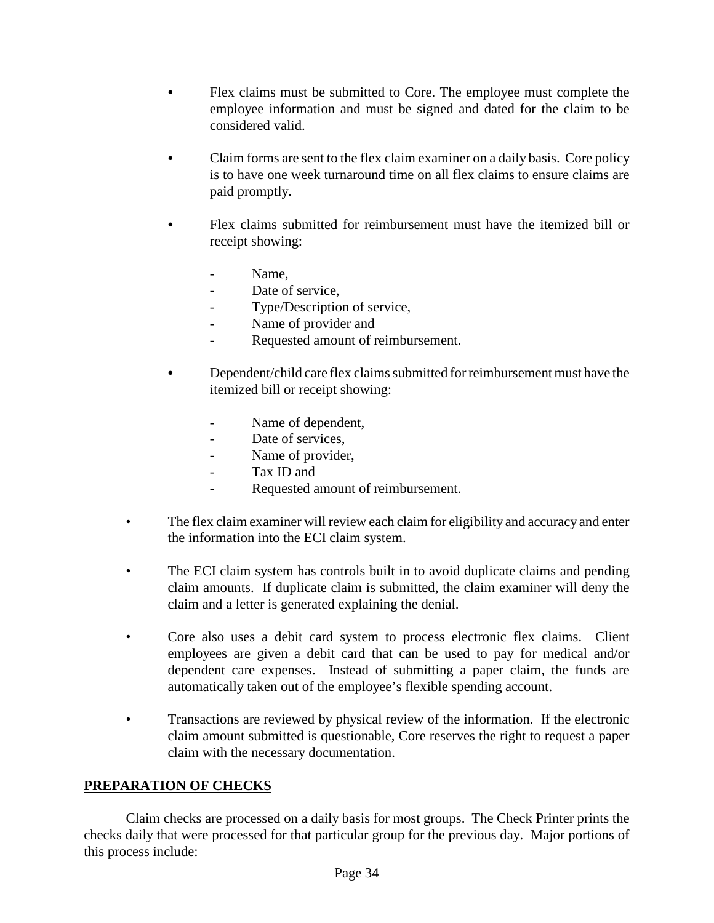- Flex claims must be submitted to Core. The employee must complete the employee information and must be signed and dated for the claim to be considered valid.
- Claim forms are sent to the flex claim examiner on a daily basis. Core policy is to have one week turnaround time on all flex claims to ensure claims are paid promptly.
- Flex claims submitted for reimbursement must have the itemized bill or receipt showing:
	- Name.
	- Date of service,
	- Type/Description of service,
	- Name of provider and
	- Requested amount of reimbursement.
- Dependent/child care flex claims submitted for reimbursement must have the itemized bill or receipt showing:
	- Name of dependent,
	- Date of services,
	- Name of provider,
	- Tax ID and
	- Requested amount of reimbursement.
- The flex claim examiner will review each claim for eligibility and accuracy and enter the information into the ECI claim system.
- The ECI claim system has controls built in to avoid duplicate claims and pending claim amounts. If duplicate claim is submitted, the claim examiner will deny the claim and a letter is generated explaining the denial.
- Core also uses a debit card system to process electronic flex claims. Client employees are given a debit card that can be used to pay for medical and/or dependent care expenses. Instead of submitting a paper claim, the funds are automatically taken out of the employee's flexible spending account.
- Transactions are reviewed by physical review of the information. If the electronic claim amount submitted is questionable, Core reserves the right to request a paper claim with the necessary documentation.

## **PREPARATION OF CHECKS**

Claim checks are processed on a daily basis for most groups. The Check Printer prints the checks daily that were processed for that particular group for the previous day. Major portions of this process include: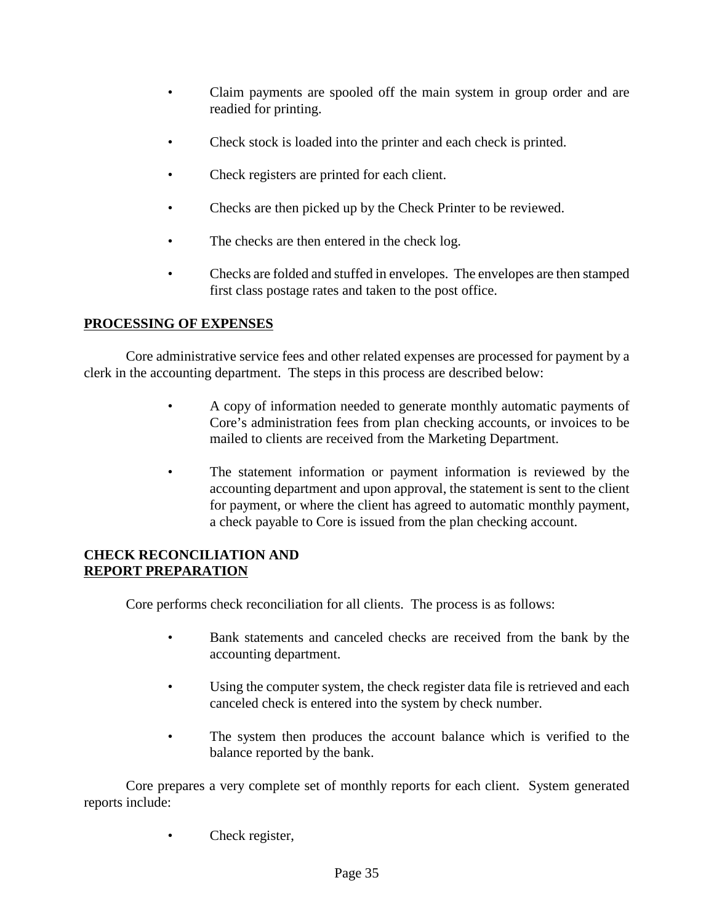- Claim payments are spooled off the main system in group order and are readied for printing.
- Check stock is loaded into the printer and each check is printed.
- Check registers are printed for each client.
- Checks are then picked up by the Check Printer to be reviewed.
- The checks are then entered in the check log.
- Checks are folded and stuffed in envelopes. The envelopes are then stamped first class postage rates and taken to the post office.

### **PROCESSING OF EXPENSES**

Core administrative service fees and other related expenses are processed for payment by a clerk in the accounting department. The steps in this process are described below:

- A copy of information needed to generate monthly automatic payments of Core's administration fees from plan checking accounts, or invoices to be mailed to clients are received from the Marketing Department.
- The statement information or payment information is reviewed by the accounting department and upon approval, the statement is sent to the client for payment, or where the client has agreed to automatic monthly payment, a check payable to Core is issued from the plan checking account.

### **CHECK RECONCILIATION AND REPORT PREPARATION**

Core performs check reconciliation for all clients. The process is as follows:

- Bank statements and canceled checks are received from the bank by the accounting department.
- Using the computer system, the check register data file is retrieved and each canceled check is entered into the system by check number.
- The system then produces the account balance which is verified to the balance reported by the bank.

Core prepares a very complete set of monthly reports for each client. System generated reports include:

Check register,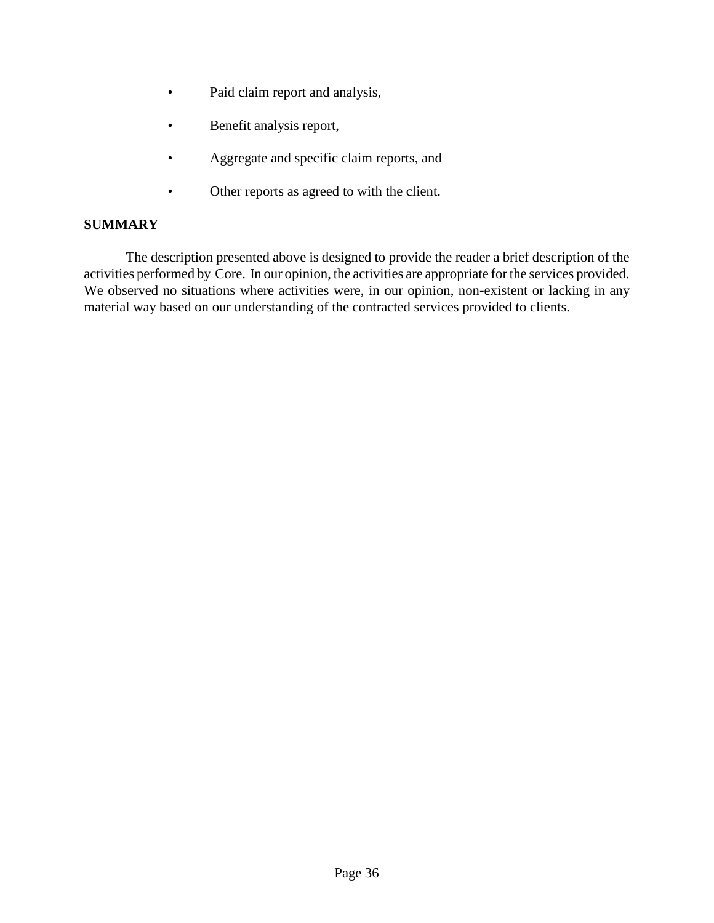- Paid claim report and analysis,
- Benefit analysis report,
- Aggregate and specific claim reports, and
- Other reports as agreed to with the client.

#### **SUMMARY**

The description presented above is designed to provide the reader a brief description of the activities performed by Core. In our opinion, the activities are appropriate for the services provided. We observed no situations where activities were, in our opinion, non-existent or lacking in any material way based on our understanding of the contracted services provided to clients.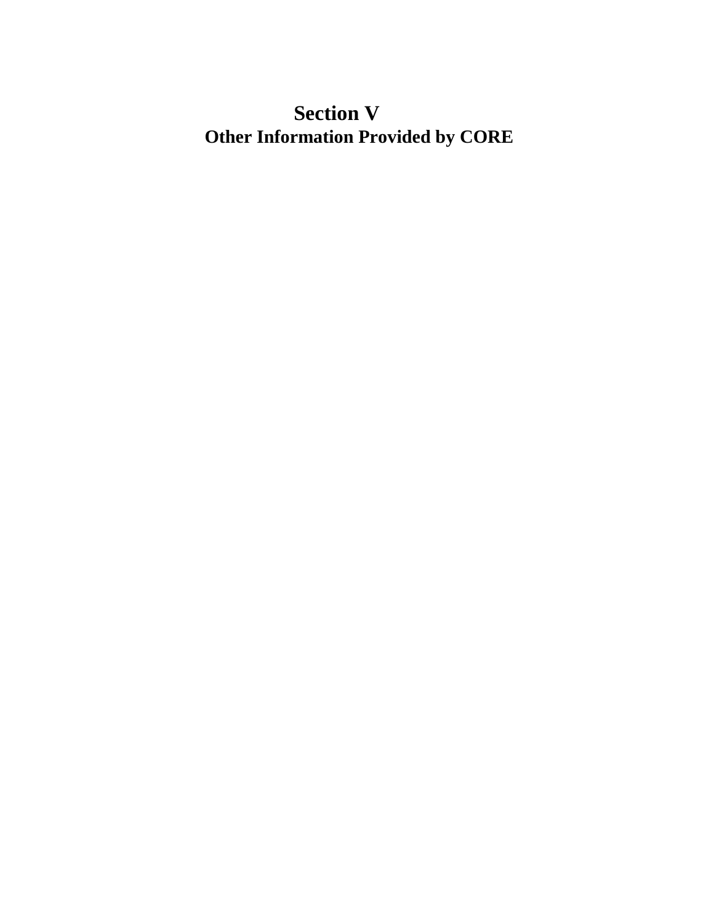# **Section V Other Information Provided by CORE**